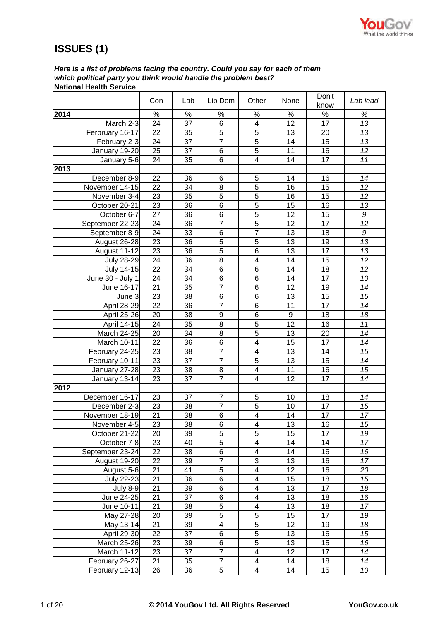

# **ISSUES (1)**

*Here is a list of problems facing the country. Could you say for each of them which political party you think would handle the problem best?* **National Health Service**

|                   | Con             | Lab             | Lib Dem          | Other                   | None             | Don't<br>know   | Lab lead        |
|-------------------|-----------------|-----------------|------------------|-------------------------|------------------|-----------------|-----------------|
| 2014              | $\%$            | $\%$            | $\%$             | $\%$                    | $\%$             | $\%$            | $\%$            |
| March 2-3         | 24              | 37              | 6                | $\overline{4}$          | $\overline{12}$  | $\overline{17}$ | 13              |
| Ferbruary 16-17   | 22              | 35              | $\overline{5}$   | $\overline{5}$          | 13               | 20              | $\overline{13}$ |
| February 2-3      | 24              | 37              | $\overline{7}$   | $\overline{5}$          | 14               | 15              | 13              |
| January 19-20     | 25              | 37              | 6                | $\overline{5}$          | 11               | 16              | 12              |
| January 5-6       | 24              | 35              | 6                | 4                       | 14               | 17              | 11              |
| 2013              |                 |                 |                  |                         |                  |                 |                 |
| December 8-9      | 22              | 36              | 6                | 5                       | 14               | 16              | 14              |
| November 14-15    | 22              | 34              | 8                | 5                       | 16               | 15              | 12              |
| November 3-4      | 23              | 35              | $\overline{5}$   | $\overline{5}$          | 16               | $\overline{15}$ | 12              |
| October 20-21     | 23              | 36              | 6                | $\overline{5}$          | 15               | 16              | 13              |
| October 6-7       | $\overline{27}$ | 36              | $\overline{6}$   | $\overline{5}$          | 12               | 15              | 9               |
| September 22-23   | 24              | 36              | $\overline{7}$   | $\overline{5}$          | 12               | 17              | 12              |
| September 8-9     | $\overline{24}$ | 33              | $\overline{6}$   | $\overline{7}$          | 13               | 18              | 9               |
| August 26-28      | $\overline{23}$ | 36              | $\overline{5}$   | $\overline{5}$          | 13               | 19              | 13              |
| August 11-12      | 23              | 36              | $\overline{5}$   | $\overline{6}$          | 13               | 17              | 13              |
| <b>July 28-29</b> | 24              | 36              | 8                | 4                       | 14               | 15              | 12              |
| <b>July 14-15</b> | $\overline{22}$ | 34              | $\overline{6}$   | $\overline{6}$          | $\overline{14}$  | $\overline{18}$ | $\overline{12}$ |
| June 30 - July 1  | 24              | 34              | $\overline{6}$   | $\overline{6}$          | 14               | 17              | 10              |
| June 16-17        | 21              | 35              | $\overline{7}$   | 6                       | 12               | 19              | 14              |
| June 3            | 23              | 38              | 6                | 6                       | 13               | 15              | 15              |
| April 28-29       | 22              | 36              | $\overline{7}$   | $\overline{6}$          | 11               | $\overline{17}$ | 14              |
| April 25-26       | 20              | 38              | $\boldsymbol{9}$ | 6                       | $\boldsymbol{9}$ | 18              | 18              |
| April 14-15       | 24              | 35              | 8                | 5                       | 12               | 16              | 11              |
| March 24-25       | 20              | 34              | 8                | 5                       | 13               | 20              | 14              |
| March 10-11       | 22              | 36              | 6                | $\overline{\mathbf{4}}$ | 15               | 17              | 14              |
| February 24-25    | 23              | 38              | $\overline{7}$   | $\overline{\mathbf{4}}$ | 13               | 14              | 15              |
| February 10-11    | 23              | 37              | $\overline{7}$   | 5                       | 13               | 15              | 14              |
| January 27-28     | 23              | 38              | 8                | $\overline{\mathbf{4}}$ | 11               | 16              | 15              |
| January 13-14     | 23              | 37              | $\overline{7}$   | $\overline{\mathbf{4}}$ | 12               | 17              | 14              |
| 2012              |                 |                 |                  |                         |                  |                 |                 |
| December 16-17    | 23              | 37              | $\overline{7}$   | 5                       | 10               | 18              | 14              |
| December 2-3      | 23              | 38              | $\overline{7}$   | 5                       | 10               | 17              | 15              |
| November 18-19    | 21              | 38              | 6                | 4                       | 14               | 17              | 17              |
| November 4-5      | $\overline{23}$ | $\overline{38}$ | $\overline{6}$   | 4                       | 13               | 16              | $\overline{15}$ |
| October 21-22     | 20              | 39              | 5                | 5                       | 15               | 17              | 19              |
| October 7-8       | 23              | 40              | 5                | 4                       | 14               | 14              | 17              |
| September 23-24   | 22              | 38              | 6                | 4                       | 14               | 16              | 16              |
| August 19-20      | 22              | 39              | $\overline{7}$   | $\sqrt{3}$              | 13               | 16              | 17              |
| August 5-6        | 21              | 41              | 5                | 4                       | 12               | 16              | 20              |
| July 22-23        | 21              | 36              | 6                | 4                       | 15               | 18              | 15              |
| <b>July 8-9</b>   | 21              | 39              | 6                | 4                       | 13               | 17              | 18              |
| June 24-25        | 21              | 37              | 6                | $\overline{\mathbf{4}}$ | 13               | 18              | 16              |
| June 10-11        | 21              | 38              | 5                | 4                       | 13               | 18              | 17              |
| May 27-28         | 20              | 39              | $\overline{5}$   | $\overline{5}$          | 15               | 17              | 19              |
| May 13-14         | 21              | 39              | 4                | $\overline{5}$          | 12               | 19              | 18              |
| April 29-30       | $\overline{22}$ | 37              | $\overline{6}$   | $\overline{5}$          | 13               | 16              | 15              |
| March 25-26       | 23              | 39              | 6                | $\overline{5}$          | 13               | 15              | 16              |
| March 11-12       | 23              | 37              | $\overline{7}$   | $\overline{\mathbf{4}}$ | 12               | 17              | 14              |
| February 26-27    | 21              | 35              | $\overline{7}$   | 4                       | 14               | 18              | 14              |
| February 12-13    | 26              | 36              | 5                | 4                       | 14               | 15              | 10              |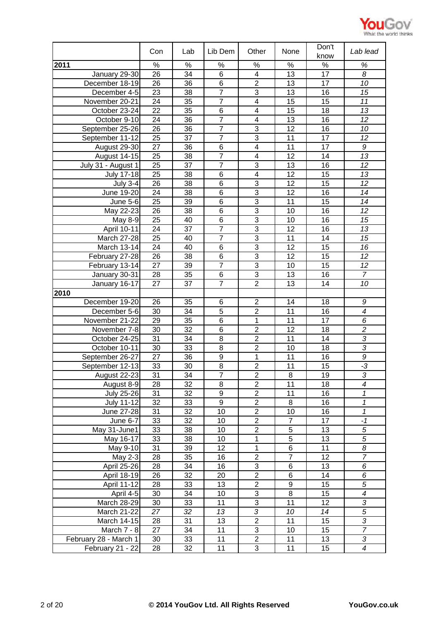

|                                  | Con             | Lab      | Lib Dem          | Other                            | None            | Don't<br>know   | Lab lead                         |
|----------------------------------|-----------------|----------|------------------|----------------------------------|-----------------|-----------------|----------------------------------|
| 2011                             | %               | %        | $\%$             | %                                | $\%$            | $\%$            | $\%$                             |
| January 29-30                    | 26              | 34       | 6                | $\overline{4}$                   | $\overline{13}$ | $\overline{17}$ | 8                                |
| December 18-19                   | 26              | 36       | 6                | $\overline{2}$                   | 13              | 17              | 10                               |
| December 4-5                     | 23              | 38       | $\overline{7}$   | 3                                | 13              | 16              | 15                               |
| November 20-21                   | 24              | 35       | $\overline{7}$   | $\overline{\mathbf{4}}$          | 15              | 15              | 11                               |
| October 23-24                    | $\overline{22}$ | 35       | $\overline{6}$   | $\overline{4}$                   | $\overline{15}$ | 18              | $\overline{13}$                  |
| October 9-10                     | 24              | 36       | $\overline{7}$   | $\overline{4}$                   | 13              | 16              | 12                               |
| September 25-26                  | 26              | 36       | $\overline{7}$   | $\overline{3}$                   | 12              | 16              | 10                               |
| September 11-12                  | 25              | 37       | $\overline{7}$   | $\overline{3}$                   | 11              | 17              | 12                               |
| August 29-30                     | 27              | 36       | 6                | $\overline{4}$                   | 11              | 17              | 9                                |
| August 14-15                     | 25              | 38       | $\overline{7}$   | 4                                | 12              | 14              | 13                               |
| July 31 - August 1               | 25              | 37       | $\overline{7}$   | $\overline{3}$                   | 13              | 16              | 12                               |
| July 17-18                       | 25              | 38       | 6                | $\overline{\mathcal{A}}$         | 12              | 15              | 13                               |
| <b>July 3-4</b>                  | 26              | 38       | 6                | 3                                | 12              | 15              | 12                               |
| June 19-20                       | 24              | 38       | $6\phantom{1}6$  | $\overline{3}$                   | 12              | 16              | 14                               |
| <b>June 5-6</b>                  | 25              | 39       | 6                | 3                                | 11              | 15              | 14                               |
| May 22-23                        | 26              | 38       | 6                | 3                                | 10              | 16              | 12                               |
| May 8-9                          | 25              | 40       | 6                | $\sqrt{3}$                       | 10              | 16              | 15                               |
| April 10-11                      | 24              | 37       | $\overline{7}$   | 3                                | 12              | 16              | 13                               |
| <b>March 27-28</b>               | 25              | 40       | $\overline{7}$   | 3                                | 11              | 14              | 15                               |
| March 13-14                      | 24              | 40       | 6                | 3                                | 12              | 15              | 16                               |
| February 27-28                   | 26              | 38       | 6                | $\overline{3}$                   | 12              | 15              | 12                               |
| February 13-14                   | 27              | 39       | $\overline{7}$   | $\overline{3}$                   | 10              | 15              | $\overline{12}$                  |
| January 30-31                    | 28              | 35       | 6                | $\overline{3}$                   | 13              | 16              | $\overline{7}$                   |
| January 16-17                    | 27              | 37       | $\overline{7}$   | $\overline{2}$                   | 13              | 14              | 10                               |
| 2010                             |                 |          |                  |                                  |                 |                 |                                  |
| December 19-20                   | 26              | 35       | 6                | $\overline{2}$                   | 14              | 18              | 9                                |
| December 5-6                     | 30              | 34       | $\overline{5}$   | $\overline{2}$                   | 11              | 16              | $\boldsymbol{4}$                 |
| November 21-22                   | 29              | 35       | 6                | 1                                | 11              | 17              | 6                                |
| November 7-8                     | 30<br>31        | 32<br>34 | 6<br>8           | $\overline{2}$<br>$\overline{2}$ | 12<br>11        | 18              | $\overline{c}$<br>$\overline{3}$ |
| October 24-25                    | 30              | 33       | 8                | $\boldsymbol{2}$                 | 10              | 14<br>18        | $\mathfrak{Z}$                   |
| October 10-11<br>September 26-27 | 27              | 36       | 9                | 1                                | 11              | 16              | 9                                |
| September 12-13                  | 33              | 30       | 8                | $\overline{2}$                   | 11              | 15              | $-3$                             |
| August 22-23                     | 31              | 34       | 7                | $\overline{2}$                   | 8               | 19              | 3                                |
| August 8-9                       | 28              | 32       | 8                | $\overline{2}$                   | 11              | 18              | $\overline{4}$                   |
| July 25-26                       | 31              | 32       | $\boldsymbol{9}$ | $\overline{2}$                   | 11              | 16              | 1                                |
| <b>July 11-12</b>                | 32              | 33       | $\overline{9}$   | $\overline{c}$                   | 8               | 16              | 1                                |
| June 27-28                       | 31              | 32       | $\overline{10}$  | $\overline{2}$                   | $\overline{10}$ | 16              | $\overline{\mathcal{I}}$         |
| June 6-7                         | 33              | 32       | 10               | $\overline{2}$                   | $\overline{7}$  | 17              | $-1$                             |
| May 31-June1                     | 33              | 38       | 10               | $\overline{2}$                   | 5               | 13              | $\sqrt{5}$                       |
| May 16-17                        | 33              | 38       | 10               | 1                                | $\overline{5}$  | 13              | $\sqrt{5}$                       |
| May 9-10                         | 31              | 39       | 12               | $\mathbf 1$                      | $\overline{6}$  | 11              | 8                                |
| May 2-3                          | 28              | 35       | 16               | $\boldsymbol{2}$                 | $\overline{7}$  | 12              | $\overline{7}$                   |
| April 25-26                      | 28              | 34       | 16               | $\overline{3}$                   | 6               | 13              | 6                                |
| April 18-19                      | 26              | 32       | 20               | $\overline{2}$                   | 6               | 14              | 6                                |
| April 11-12                      | 28              | 33       | 13               | $\overline{2}$                   | $\overline{9}$  | 15              | $\sqrt{5}$                       |
| April 4-5                        | 30              | 34       | 10               | $\ensuremath{\mathsf{3}}$        | 8               | 15              | $\overline{4}$                   |
| March 28-29                      | 30              | 33       | 11               | $\ensuremath{\mathsf{3}}$        | 11              | 12              | $\sqrt{3}$                       |
| March 21-22                      | 27              | 32       | 13               | $\mathfrak{Z}$                   | 10              | 14              | $\sqrt{5}$                       |
| March 14-15                      | 28              | 31       | 13               | $\overline{2}$                   | 11              | 15              | 3                                |
| March 7 - 8                      | 27              | 34       | 11               | $\sqrt{3}$                       | 10              | 15              | $\overline{7}$                   |
| February 28 - March 1            | 30              | 33       | 11               | $\overline{2}$                   | 11              | 13              | $\sqrt{3}$                       |
| February 21 - 22                 | 28              | 32       | 11               | $\sqrt{3}$                       | 11              | 15              | $\boldsymbol{4}$                 |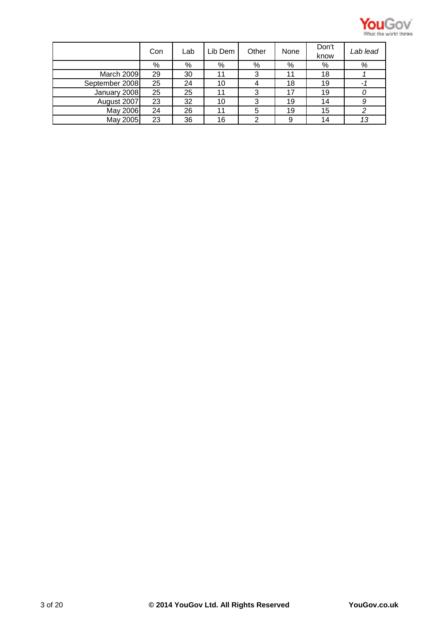

|                | Con | Lab | Lib Dem | Other | None | Don't<br>know | Lab lead |
|----------------|-----|-----|---------|-------|------|---------------|----------|
|                | %   | %   | %       | %     | %    | %             | %        |
| March 2009     | 29  | 30  | 11      | 3     | 11   | 18            |          |
| September 2008 | 25  | 24  | 10      |       | 18   | 19            |          |
| January 2008   | 25  | 25  | 11      | 3     | 17   | 19            |          |
| August 2007    | 23  | 32  | 10      | 3     | 19   | 14            | 9        |
| May 2006       | 24  | 26  | 11      | 5     | 19   | 15            |          |
| May 2005       | 23  | 36  | 16      | 2     | 9    | 14            | 13       |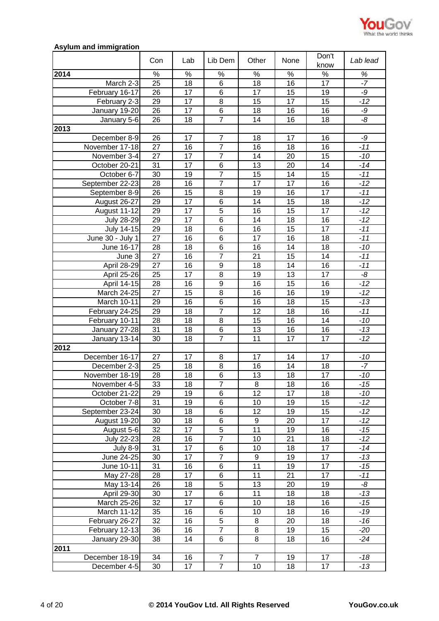

# **Asylum and immigration**

|                   | Con             | Lab             | Lib Dem          | Other            | None            | Don't<br>know   | Lab lead |
|-------------------|-----------------|-----------------|------------------|------------------|-----------------|-----------------|----------|
| 2014              | $\%$            | $\%$            | $\%$             | $\%$             | $\%$            | $\%$            | $\%$     |
| March 2-3         | 25              | 18              | 6                | $\overline{18}$  | 16              | 17              | $-7$     |
| February 16-17    | 26              | 17              | 6                | 17               | 15              | 19              | -9       |
| February 2-3      | 29              | 17              | 8                | 15               | 17              | 15              | $-12$    |
| January 19-20     | 26              | 17              | $\overline{6}$   | 18               | 16              | 16              | -9       |
| January 5-6       | 26              | 18              | $\overline{7}$   | 14               | 16              | 18              | -8       |
| 2013              |                 |                 |                  |                  |                 |                 |          |
| December 8-9      | 26              | 17              | $\overline{7}$   | 18               | 17              | 16              | $-9$     |
| November 17-18    | 27              | 16              | $\overline{7}$   | 16               | 18              | 16              | $-11$    |
|                   | 27              | 17              | $\overline{7}$   | 14               | 20              | 15              | $-10$    |
| November 3-4      | 31              | 17              | 6                | 13               | 20              | 14              |          |
| October 20-21     |                 |                 | $\overline{7}$   |                  |                 |                 | $-14$    |
| October 6-7       | 30              | 19              | $\overline{7}$   | 15               | 14              | 15              | $-11$    |
| September 22-23   | 28              | 16              |                  | 17               | 17              | 16              | $-12$    |
| September 8-9     | 26              | 15              | 8                | 19               | 16              | 17              | $-11$    |
| August 26-27      | 29              | 17              | 6                | 14               | 15              | 18              | $-12$    |
| August 11-12      | 29              | 17              | $\overline{5}$   | 16               | 15              | 17              | $-12$    |
| <b>July 28-29</b> | 29              | 17              | $\overline{6}$   | 14               | 18              | 16              | $-12$    |
| <b>July 14-15</b> | 29              | 18              | 6                | 16               | 15              | 17              | $-11$    |
| June 30 - July 1  | 27              | 16              | 6                | 17               | 16              | 18              | $-11$    |
| June 16-17        | 28              | 18              | 6                | 16               | 14              | 18              | $-10$    |
| June 3            | 27              | 16              | $\overline{7}$   | 21               | 15              | 14              | $-11$    |
| April 28-29       | 27              | 16              | $\boldsymbol{9}$ | 18               | 14              | 16              | $-11$    |
| April 25-26       | 25              | 17              | 8                | 19               | 13              | 17              | -8       |
| April 14-15       | 28              | 16              | 9                | 16               | 15              | 16              | $-12$    |
| March 24-25       | 27              | 15              | $\overline{8}$   | 16               | 16              | 19              | $-12$    |
| March 10-11       | 29              | 16              | 6                | 16               | 18              | 15              | $-13$    |
| February 24-25    | 29              | 18              | $\overline{7}$   | 12               | 18              | 16              | $-11$    |
| February 10-11    | $\overline{28}$ | 18              | 8                | 15               | 16              | 14              | $-10$    |
| January 27-28     | 31              | 18              | $\overline{6}$   | 13               | 16              | 16              | $-13$    |
| January 13-14     | 30              | 18              | $\overline{7}$   | 11               | 17              | 17              | $-12$    |
| 2012              |                 |                 |                  |                  |                 |                 |          |
| December 16-17    | 27              | 17              | 8                | 17               | 14              | 17              | $-10$    |
| December 2-3      | $\overline{25}$ | 18              | $\overline{8}$   | $\overline{16}$  | $\overline{14}$ | $\overline{18}$ | $-7$     |
| November 18-19    | 28              | 18              | $\overline{6}$   | 13               | 18              | 17              | -10      |
| November 4-5      | $\overline{33}$ | $\overline{18}$ | $\overline{7}$   | 8                | 18              | 16              | $-15$    |
| October 21-22     | 29              | 19              | 6                | 12               | 17              | 18              | -10      |
| October 7-8       | 31              | 19              | 6                | 10               | 19              | 15              | $-12$    |
| September 23-24   | 30              | 18              | 6                | 12               | 19              | 15              | $-12$    |
| August 19-20      | 30              | 18              | 6                | $\boldsymbol{9}$ | 20              | 17              | $-12$    |
| August 5-6        | 32              | 17              | 5                | 11               | 19              | 16              | $-15$    |
| July 22-23        | 28              | 16              | $\overline{7}$   | 10               | 21              | 18              | $-12$    |
| <b>July 8-9</b>   | 31              | 17              | 6                | 10               | 18              | 17              | $-14$    |
| June 24-25        | 30              | 17              | $\overline{7}$   | $\boldsymbol{9}$ | 19              | 17              | $-13$    |
| June 10-11        | 31              | 16              | 6                | 11               | 19              | 17              | $-15$    |
| May 27-28         | $\overline{28}$ | 17              | $\overline{6}$   | 11               | $\overline{21}$ | $\overline{17}$ | $-11$    |
| May 13-14         | 26              | 18              | $\overline{5}$   | 13               | 20              | 19              | -8       |
| April 29-30       | 30              | 17              | 6                | 11               | 18              | 18              | $-13$    |
| March 25-26       | 32              | 17              | 6                | 10               | 18              | 16              | $-15$    |
| March 11-12       | 35              | 16              | 6                | 10               | 18              | 16              | $-19$    |
| February 26-27    | 32              | 16              | $\overline{5}$   | 8                | 20              | 18              | $-16$    |
|                   |                 |                 | $\overline{7}$   |                  |                 |                 |          |
| February 12-13    | 36              | 16              |                  | 8                | 19              | 15              | -20      |
| January 29-30     | 38              | 14              | 6                | 8                | 18              | 16              | $-24$    |
| 2011              |                 |                 |                  |                  |                 |                 |          |
| December 18-19    | 34              | 16              | $\overline{7}$   | $\overline{7}$   | 19              | 17              | $-18$    |
| December 4-5      | 30              | 17              | $\overline{7}$   | 10               | 18              | 17              | $-13$    |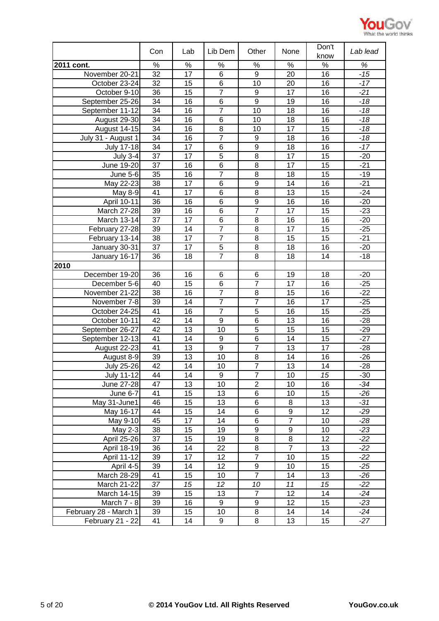

|                       |                 |                 |                        |                       |                 | Don't           |                |
|-----------------------|-----------------|-----------------|------------------------|-----------------------|-----------------|-----------------|----------------|
|                       | Con             | Lab             | Lib Dem                | Other                 | None            | know            | Lab lead       |
| 2011 cont.            | %               | $\%$            | $\%$                   | $\%$                  | %               | $\%$            | $\%$           |
| November 20-21        | $\overline{32}$ | $\overline{17}$ | $\overline{6}$         | $\overline{9}$        | 20              | $\overline{16}$ | $-15$          |
| October 23-24         | 32              | 15              | $\overline{6}$         | 10                    | 20              | 16              | $-17$          |
| October 9-10          | 36              | 15              | $\overline{7}$         | 9                     | 17              | 16              | $-21$          |
| September 25-26       | 34              | 16              | 6                      | $\overline{9}$        | 19              | 16              | $-18$          |
| September 11-12       | 34              | 16              | $\overline{7}$         | $\overline{10}$       | $\overline{18}$ | 16              | $-18$          |
| August 29-30          | 34              | 16              | 6                      | 10                    | 18              | 16              | $-18$          |
| <b>August 14-15</b>   | 34              | 16              | $\overline{8}$         | 10                    | 17              | 15              | $-18$          |
| July 31 - August 1    | 34              | 16              | $\overline{7}$         | $\boldsymbol{9}$      | 18              | 16              | $-18$          |
| <b>July 17-18</b>     | 34              | 17              | $\overline{6}$         | $\overline{9}$        | 18              | 16              | $-17$          |
| <b>July 3-4</b>       | 37              | 17              | $\overline{5}$         | 8                     | 17              | 15              | $-20$          |
| June 19-20            | 37              | 16              | 6                      | 8                     | 17              | 15              | $-21$          |
| June 5-6              | 35              | 16              | $\overline{7}$         | 8                     | 18              | 15              | $-19$          |
| May 22-23             | 38              | 17              | $6\phantom{1}$         | 9                     | 14              | 16              | $-21$          |
| May 8-9               | 41              | 17              | 6                      | 8                     | 13              | 15              | $-24$          |
| April 10-11           | 36              | 16              | 6                      | 9                     | 16              | 16              | $-20$          |
| March 27-28           | 39              | 16              | 6                      | $\overline{7}$        | 17              | 15              | $-23$          |
| March 13-14           | 37              | 17              | 6                      | 8                     | 16              | 16              | $-20$          |
| February 27-28        | 39              | 14              | $\overline{7}$         | 8                     | 17              | 15              | $-25$          |
| February 13-14        | 38              | 17              | $\overline{7}$         | 8                     | 15              | 15              | $-21$          |
| January 30-31         | 37              | 17              | 5                      | 8                     | 18              | 16              | $-20$          |
| January 16-17         | 36              | 18              | $\overline{7}$         | 8                     | 18              | 14              | $-18$          |
| 2010                  |                 |                 |                        |                       |                 |                 |                |
| December 19-20        | 36              | 16              | 6                      | 6                     | 19              | 18              | $-20$          |
| December 5-6          | 40              | 15              | 6                      | $\overline{7}$        | 17              | 16              | $-25$          |
| November 21-22        | 38              | 16              | $\overline{7}$         | 8                     | 15              | 16              | $-22$          |
| November 7-8          | 39              | 14              | $\overline{7}$         | $\overline{7}$        | 16              | 17              | $-25$          |
| October 24-25         | 41              | 16              | $\overline{7}$         | $\overline{5}$        | 16              | 15              | $-25$          |
| October 10-11         | 42              | 14              | $\boldsymbol{9}$       | 6                     | 13              | 16              | $-28$          |
| September 26-27       | 42              | 13              | 10                     | $\overline{5}$        | 15              | 15              | $-29$          |
| September 12-13       | 41              | 14              | 9                      | 6                     | 14              | 15              | $-27$          |
| August 22-23          | 41              | 13              | $\boldsymbol{9}$       | $\overline{7}$        | 13              | 17              | $-28$          |
| August 8-9            | 39              | 13              | 10                     | 8                     | 14              | 16              | $-26$          |
| <b>July 25-26</b>     | 42              | 14              | 10                     | $\overline{7}$        | 13              | 14              | $-28$          |
| <b>July 11-12</b>     | 44              | 14              | 9                      | $\overline{7}$        | 10              | 15              | -30            |
| June 27-28            | $\overline{47}$ | 13              | 10                     | $\overline{2}$        | 10              | 16              | $-34$          |
| June 6-7              | 41              | 15              | 13                     | 6                     | 10              | 15              | $-26$          |
| May 31-June1          | 46              | 15              | 13                     | 6                     | 8               | 13              | $-31$          |
| May 16-17             | 44              | 15              | $\overline{14}$        | $\overline{6}$        | $\overline{9}$  | $\overline{12}$ | $-29$          |
| May 9-10              | 45              | 17              | 14                     | 6                     | $\overline{7}$  | 10              | $-28$          |
| May 2-3               | 38              | 15              | 19                     | 9                     | 9               | 10              | $-23$          |
| April 25-26           | 37              | 15              | 19                     | 8                     | 8               | 12              | $-22$          |
| April 18-19           | 36              | 14              | 22                     | 8                     | $\overline{7}$  | 13              | $-22$          |
| April 11-12           | 39              | 17              | 12                     | $\overline{7}$        | 10              | 15              | $-22$          |
| April 4-5             | 39              | 14              | 12                     | 9                     | 10              | 15              | $-25$          |
| March 28-29           | 41              | 15              | 10                     | $\overline{7}$        | 14              | 13              | $-26$          |
| March 21-22           | 37              | 15              | 12                     | 10<br>$\overline{7}$  | 11              | 15              | $-22$          |
| March 14-15           | 39<br>39        | 15              | 13<br>$\boldsymbol{9}$ |                       | 12<br>12        | 14              | $-24$<br>$-23$ |
| March 7 - 8           | 39              | 16<br>15        |                        | $\boldsymbol{9}$<br>8 | 14              | 15<br>14        | $-24$          |
| February 28 - March 1 |                 |                 | 10                     |                       |                 |                 |                |
| February 21 - 22      | 41              | 14              | 9                      | 8                     | 13              | 15              | $-27$          |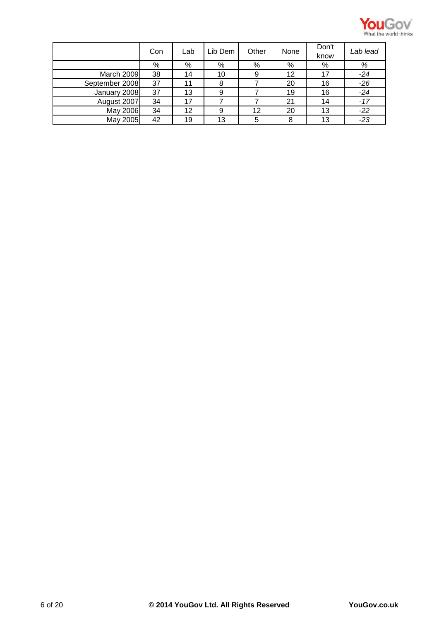

|                | Con | Lab | Lib Dem | Other | None | Don't<br>know | Lab lead |
|----------------|-----|-----|---------|-------|------|---------------|----------|
|                | %   | %   | %       | %     | %    | %             | %        |
| March 2009     | 38  | 14  | 10      | 9     | 12   | 17            | $-24$    |
| September 2008 | 37  | 11  | 8       |       | 20   | 16            | $-26$    |
| January 2008   | 37  | 13  | 9       |       | 19   | 16            | $-24$    |
| August 2007    | 34  | 17  |         |       | 21   | 14            | $-17$    |
| May 2006       | 34  | 12  | 9       | 12    | 20   | 13            | $-22$    |
| May 2005       | 42  | 19  | 13      | 5     | 8    | 13            | $-23$    |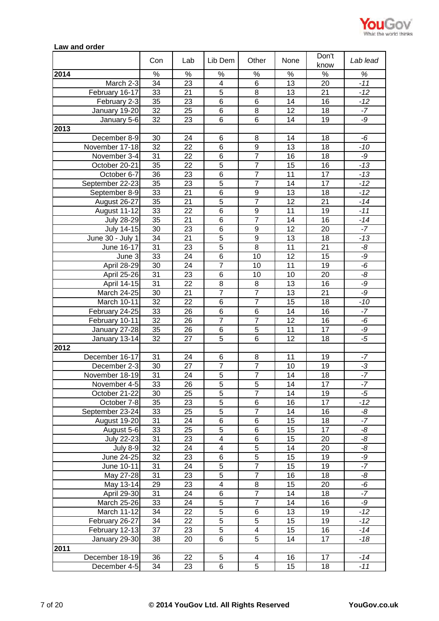

## **Law and order**

|                   | Con             | Lab             | Lib Dem                 | Other            | None            | Don't<br>know   | Lab lead |
|-------------------|-----------------|-----------------|-------------------------|------------------|-----------------|-----------------|----------|
| 2014              | $\%$            | $\%$            | $\%$                    | $\%$             | $\%$            | $\%$            | $\%$     |
| March 2-3         | 34              | 23              | $\overline{\mathbf{4}}$ | 6                | 13              | 20              | $-11$    |
| February 16-17    | 33              | 21              | 5                       | 8                | 13              | 21              | $-12$    |
| February 2-3      | $\overline{35}$ | 23              | $\overline{6}$          | $\overline{6}$   | 14              | 16              | $-12$    |
| January 19-20     | 32              | 25              | 6                       | 8                | 12              | 18              | $-7$     |
| January 5-6       | 32              | 23              | 6                       | 6                | 14              | 19              | -9       |
| 2013              |                 |                 |                         |                  |                 |                 |          |
| December 8-9      | 30              | 24              | $\,6$                   | 8                | 14              | 18              | -6       |
| November 17-18    | 32              | 22              | 6                       | $\boldsymbol{9}$ | 13              | 18              | $-10$    |
|                   | 31              | 22              | 6                       | $\overline{7}$   | 16              | 18              | $-9$     |
| November 3-4      | 35              | 22              | 5                       | $\overline{7}$   | 15              | 16              | $-13$    |
| October 20-21     |                 |                 |                         | $\overline{7}$   |                 |                 |          |
| October 6-7       | 36              | 23              | 6                       | $\overline{7}$   | 11              | 17              | $-13$    |
| September 22-23   | 35              | 23              | $\overline{5}$          |                  | 14              | 17              | $-12$    |
| September 8-9     | 33              | 21              | 6                       | 9                | 13              | 18              | $-12$    |
| August 26-27      | 35              | 21              | $\overline{5}$          | $\overline{7}$   | 12              | 21              | $-14$    |
| August 11-12      | 33              | 22              | 6                       | 9                | 11              | 19              | $-11$    |
| <b>July 28-29</b> | $\overline{35}$ | 21              | $6\phantom{1}$          | $\overline{7}$   | 14              | 16              | $-14$    |
| <b>July 14-15</b> | 30              | 23              | $\,6$                   | 9                | 12              | 20              | $-7$     |
| June 30 - July 1  | 34              | 21              | $\overline{5}$          | $\boldsymbol{9}$ | 13              | 18              | $-13$    |
| June 16-17        | 31              | 23              | $\overline{5}$          | 8                | 11              | 21              | -8       |
| June 3            | 33              | 24              | 6                       | 10               | 12              | 15              | -9       |
| April 28-29       | 30              | 24              | $\overline{7}$          | 10               | 11              | 19              | $-6$     |
| April 25-26       | 31              | 23              | 6                       | 10               | 10              | 20              | -8       |
| April 14-15       | 31              | 22              | 8                       | $\,8\,$          | 13              | 16              | -9       |
| March 24-25       | 30              | 21              | $\overline{7}$          | $\overline{7}$   | 13              | 21              | $-9$     |
| March 10-11       | 32              | 22              | 6                       | $\overline{7}$   | 15              | 18              | $-10$    |
| February 24-25    | 33              | 26              | $\overline{6}$          | 6                | 14              | 16              | $-7$     |
| February 10-11    | $\overline{32}$ | 26              | $\overline{7}$          | $\overline{7}$   | 12              | 16              | -6       |
| January 27-28     | 35              | 26              | $\overline{6}$          | $\overline{5}$   | $\overline{11}$ | $\overline{17}$ | -9       |
| January 13-14     | 32              | 27              | 5                       | 6                | 12              | 18              | $-5$     |
| 2012              |                 |                 |                         |                  |                 |                 |          |
| December 16-17    | 31              | 24              | 6                       | 8                | 11              | 19              | $-7$     |
| December 2-3      | $\overline{30}$ | 27              | $\overline{7}$          | $\overline{7}$   | 10              | $\overline{19}$ | $-3$     |
| November 18-19    | $\overline{31}$ | 24              | $\overline{5}$          | $\overline{7}$   | 14              | 18              | $-7$     |
| November 4-5      | 33              | $\overline{26}$ | $\overline{5}$          | $\overline{5}$   | 14              | $\overline{17}$ | $-7$     |
| October 21-22     | 30              | 25              | $\overline{5}$          | $\overline{7}$   | 14              | 19              | $-5$     |
| October 7-8       | 35              | 23              | $\overline{5}$          | 6                | 16              | 17              | $-12$    |
| September 23-24   | 33              | 25              | $\overline{5}$          | $\overline{7}$   | 14              | 16              | -8       |
| August 19-20      | 31              | 24              | 6                       | 6                | 15              | 18              | $-7$     |
| August 5-6        | 33              | 25              | 5                       | 6                | 15              | 17              | -8       |
| July 22-23        | 31              | 23              | $\overline{\mathbf{4}}$ | 6                | 15              | 20              | -8       |
| <b>July 8-9</b>   | 32              | 24              | 4                       | 5                | 14              | 20              | -8       |
| June 24-25        | 32              | 23              | 6                       | $\overline{5}$   | 15              | 19              | -9       |
| June 10-11        | 31              | 24              | 5                       | $\overline{7}$   | 15              | 19              | $-7$     |
| May 27-28         | 31              | 23              | $\overline{5}$          | $\overline{7}$   | 16              | 18              | -8       |
| May 13-14         | 29              | 23              | $\overline{\mathbf{4}}$ | 8                | 15              | 20              | $-6$     |
|                   | 31              |                 | $\overline{6}$          | $\overline{7}$   |                 | 18              | $-7$     |
| April 29-30       | 33              | 24<br>24        | $\overline{5}$          | $\overline{7}$   | 14<br>14        | 16              | $-9$     |
| March 25-26       |                 |                 |                         |                  |                 |                 |          |
| March 11-12       | 34              | 22              | 5                       | 6                | 13              | 19              | $-12$    |
| February 26-27    | 34              | 22              | $\overline{5}$          | $\overline{5}$   | 15              | 19              | $-12$    |
| February 12-13    | 37              | 23              | $\overline{5}$          | 4                | 15              | 16              | $-14$    |
| January 29-30     | 38              | 20              | 6                       | 5                | 14              | 17              | $-18$    |
| 2011              |                 |                 |                         |                  |                 |                 |          |
| December 18-19    | 36              | 22              | $\,$ 5 $\,$             | 4                | 16              | 17              | $-14$    |
| December 4-5      | 34              | 23              | 6                       | 5                | 15              | 18              | $-11$    |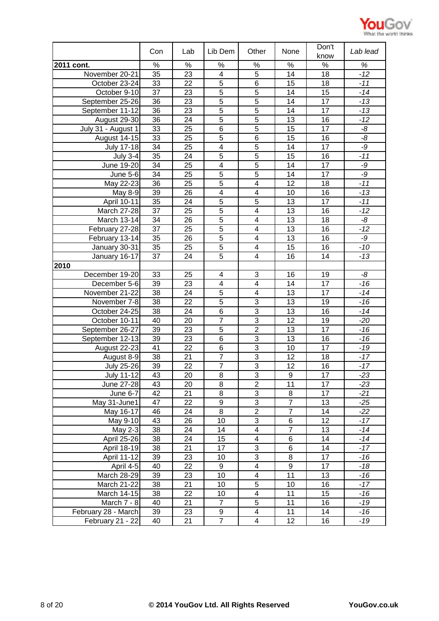

|                     | Con             | Lab             | Lib Dem                 | Other                   | None            | Don't<br>know   | Lab lead       |
|---------------------|-----------------|-----------------|-------------------------|-------------------------|-----------------|-----------------|----------------|
| 2011 cont.          | $\%$            | $\%$            | $\%$                    | $\%$                    | $\%$            | $\%$            | $\%$           |
| November 20-21      | 35              | 23              | 4                       | 5                       | 14              | 18              | $-12$          |
| October 23-24       | 33              | 22              | $\overline{5}$          | $\overline{6}$          | 15              | 18              | $-11$          |
| October 9-10        | 37              | 23              | $\overline{5}$          | 5                       | 14              | 15              | $-14$          |
| September 25-26     | 36              | 23              | $\overline{5}$          | $\overline{5}$          | 14              | 17              | $-13$          |
| September 11-12     | 36              | 23              | $\overline{5}$          | $\overline{5}$          | 14              | 17              | $-13$          |
| August 29-30        | $\overline{36}$ | $\overline{24}$ | $\overline{5}$          | $\overline{5}$          | $\overline{13}$ | $\overline{16}$ | $-12$          |
| July 31 - August 1  | 33              | 25              | $\overline{6}$          | $\overline{5}$          | 15              | $\overline{17}$ | $-\frac{8}{5}$ |
| August 14-15        | 33              | 25              | 5                       | 6                       | 15              | 16              | -8             |
| <b>July 17-18</b>   | 34              | 25              | $\overline{\mathbf{4}}$ | $\overline{5}$          | 14              | 17              | $-9$           |
| <b>July 3-4</b>     | $\overline{35}$ | 24              | $\overline{5}$          | $\overline{5}$          | 15              | $\overline{16}$ | $-11$          |
| June 19-20          | 34              | 25              | $\overline{4}$          | $\overline{5}$          | 14              | 17              | -9             |
| <b>June 5-6</b>     | 34              | 25              | $\overline{5}$          | $\overline{5}$          | 14              | 17              | -9             |
| May 22-23           | 36              | 25              | $\overline{5}$          | $\overline{\mathbf{4}}$ | 12              | 18              | $-11$          |
| May 8-9             | 39              | 26              | $\overline{\mathbf{4}}$ | $\overline{\mathbf{4}}$ | 10              | 16              | $-13$          |
| April 10-11         | 35              | 24              | $\overline{5}$          | 5                       | 13              | 17              | $-11$          |
| <b>March 27-28</b>  | 37              | 25              | $\overline{5}$          | $\overline{\mathbf{4}}$ | 13              | 16              | $-12$          |
| March 13-14         | 34              | 26              | $\overline{5}$          | $\overline{\mathbf{4}}$ | 13              | 18              | -8             |
| February 27-28      | 37              | 25              | $\overline{5}$          | $\overline{\mathbf{4}}$ | 13              | 16              | $-12$          |
| February 13-14      | 35              | 26              | $\overline{5}$          | $\overline{\mathbf{4}}$ | 13              | 16              | $-9$           |
| January 30-31       | 35              | 25              | 5                       | $\overline{\mathbf{4}}$ | 15              | 16              | $-10$          |
| January 16-17       | 37              | 24              | 5                       | $\overline{\mathbf{4}}$ | 16              | 14              | $-13$          |
| 2010                |                 |                 |                         |                         |                 |                 |                |
| December 19-20      | 33              | 25              | $\overline{\mathbf{4}}$ | 3                       | 16              | 19              | -8             |
| December 5-6        | 39              | 23              | $\overline{\mathbf{4}}$ | $\overline{\mathbf{4}}$ | 14              | 17              | $-16$          |
| November 21-22      | 38              | 24              | $\overline{5}$          | $\overline{\mathbf{4}}$ | 13              | 17              | $-14$          |
| November 7-8        | 38              | 22              | $\overline{5}$          | 3                       | 13              | 19              | $-16$          |
| October 24-25       | $\overline{38}$ | 24              | $\overline{6}$          | $\overline{3}$          | $\overline{13}$ | $\overline{16}$ | $-14$          |
| October 10-11       | 40              | 20              | $\overline{7}$          | $\overline{3}$          | $\overline{12}$ | 19              | $-20$          |
| September 26-27     | 39              | 23              | $\overline{5}$          | $\overline{2}$          | 13              | $\overline{17}$ | $-16$          |
| September 12-13     | 39              | 23              | 6                       | 3                       | 13              | 16              | $-16$          |
| August 22-23        | 41              | 22              | 6                       | $\overline{3}$          | 10              | 17              | $-19$          |
| August 8-9          | 38              | 21              | $\overline{7}$          | $\overline{3}$          | 12              | 18              | $-17$          |
| <b>July 25-26</b>   | 39              | 22              | $\overline{7}$          | $\overline{3}$          | 12              | 16              | $-17$          |
| July 11-12          | 43              | 20              | 8                       | 3                       | 9               | 17              | $-23$          |
| June 27-28          | 43              | 20              | $\overline{8}$          | $\overline{2}$          | $\overline{11}$ | 17              | $-23$          |
| June 6-7            | 42              | 21              | 8                       | 3                       | 8               | 17              | $-21$          |
| May 31-June1        | 47              | 22              | $\overline{9}$          | $\overline{3}$          | $\overline{7}$  | 13              | $-25$          |
| May 16-17           | 46              | 24              | 8                       | $\overline{2}$          | $\overline{7}$  | 14              | $-22$          |
| May 9-10            | 43              | 26              | 10                      | $\overline{3}$          | $\overline{6}$  | 12              | $-17$          |
| May 2-3             | 38              | 24              | 14                      | $\overline{\mathbf{4}}$ | $\overline{7}$  | 13              | $-14$          |
| <b>April 25-26</b>  | $\overline{38}$ | 24              | 15                      | $\overline{\mathbf{4}}$ | 6               | 14              | $-14$          |
| April 18-19         | 38              | 21              | 17                      | 3                       | 6               | 14              | $-17$          |
| <b>April 11-12</b>  | 39              | 23              | 10                      | $\overline{3}$          | $\overline{8}$  | 17              | $-16$          |
| April 4-5           | 40              | 22              | 9                       | $\overline{\mathbf{4}}$ | $\overline{9}$  | 17              | $-18$          |
| March 28-29         | 39              | 23              | 10                      | 4                       | $\overline{11}$ | 13              | $-16$          |
| March 21-22         | 38              | 21              | 10                      | 5                       | 10              | 16              | $-17$          |
| March 14-15         | 38              | 22              | 10                      | $\overline{\mathbf{4}}$ | 11              | 15              | $-16$          |
| March 7 - 8         | 40              | 21              | $\overline{7}$          | 5                       | 11              | 16              | $-19$          |
| February 28 - March | 39              | 23              | 9                       | $\overline{4}$          | 11              | 14              | $-16$          |
| February 21 - 22    | 40              | 21              | $\overline{7}$          | 4                       | 12              | 16              | $-19$          |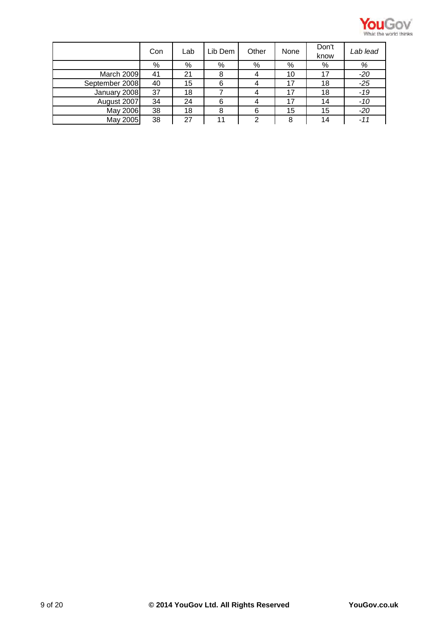

|                | Con | Lab | Lib Dem | Other | None | Don't<br>know | Lab lead |
|----------------|-----|-----|---------|-------|------|---------------|----------|
|                | %   | %   | %       | %     | %    | %             | %        |
| March 2009     | 41  | 21  | 8       |       | 10   | 17            | $-20$    |
| September 2008 | 40  | 15  | 6       |       | 17   | 18            | $-25$    |
| January 2008   | 37  | 18  |         | 4     | 17   | 18            | $-19$    |
| August 2007    | 34  | 24  | 6       |       | 17   | 14            | -10      |
| May 2006       | 38  | 18  | 8       | 6     | 15   | 15            | $-20$    |
| May 2005       | 38  | 27  | 11      | 2     | 8    | 14            | $-11$    |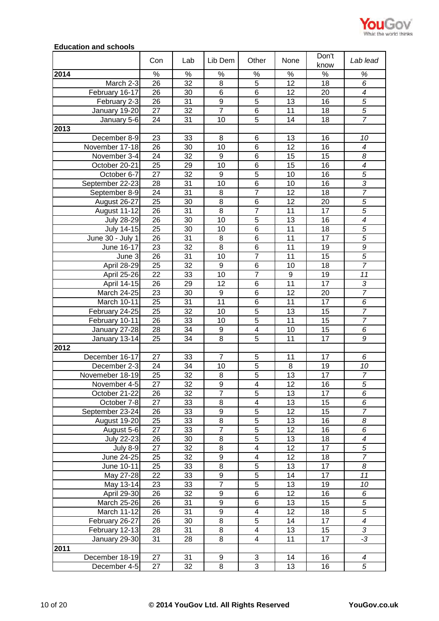

## **Education and schools**

|                    | Con             | Lab  | Lib Dem          | Other                   | None             | Don't<br>know   | Lab lead                           |
|--------------------|-----------------|------|------------------|-------------------------|------------------|-----------------|------------------------------------|
| 2014               | $\%$            | $\%$ | $\%$             | $\%$                    | $\%$             | $\%$            | %                                  |
| March 2-3          | 26              | 32   | 8                | 5                       | 12               | 18              | 6                                  |
| February 16-17     | 26              | 30   | 6                | $\,6$                   | 12               | 20              | $\overline{4}$                     |
| February 2-3       | 26              | 31   | $\boldsymbol{9}$ | $\overline{5}$          | 13               | 16              | $\overline{5}$                     |
| January 19-20      | 27              | 32   | $\overline{7}$   | 6                       | 11               | 18              | $\overline{5}$                     |
| January 5-6        | 24              | 31   | 10               | 5                       | 14               | 18              | $\overline{7}$                     |
| 2013               |                 |      |                  |                         |                  |                 |                                    |
| December 8-9       | 23              | 33   | 8                | 6                       | 13               | 16              | 10                                 |
| November 17-18     | 26              | 30   | 10               | $6\phantom{1}6$         | 12               | 16              | $\overline{\mathcal{A}}$           |
| November 3-4       | 24              | 32   | $\boldsymbol{9}$ | $6\phantom{1}6$         | 15               | 15              | 8                                  |
| October 20-21      | 25              | 29   | 10               | 6                       | 15               | 16              | $\overline{\mathcal{A}}$           |
| October 6-7        | 27              | 32   | 9                | $\overline{5}$          | 10               | 16              | $\overline{5}$                     |
| September 22-23    | 28              | 31   | 10               | 6                       | 10               | 16              | $\overline{3}$                     |
| September 8-9      | 24              | 31   | 8                | $\overline{7}$          | 12               | 18              | $\overline{7}$                     |
| August 26-27       | 25              | 30   | 8                | 6                       | 12               | 20              | $\overline{5}$                     |
| August 11-12       | 26              | 31   | $\overline{8}$   | $\overline{7}$          | 11               | $\overline{17}$ | $\overline{5}$                     |
| <b>July 28-29</b>  | 26              | 30   | 10               | 5                       | 13               | 16              | $\overline{4}$                     |
| July 14-15         | 25              | 30   | 10               | $\,6$                   | 11               | 18              | $\overline{5}$                     |
| June 30 - July 1   | 26              | 31   | 8                | $\,6$                   | 11               | 17              | $\overline{5}$                     |
| June 16-17         | 23              | 32   | 8                | $\,6$                   | 11               | 19              | $\overline{g}$                     |
| June 3             | 26              | 31   | 10               | $\overline{7}$          | 11               | 15              | $\overline{5}$                     |
| April 28-29        | 25              | 32   | $\boldsymbol{9}$ | 6                       | 10               | 18              | $\overline{7}$                     |
| April 25-26        | 22              | 33   | 10               | $\overline{7}$          | $\boldsymbol{9}$ | 19              | 11                                 |
| April 14-15        | 26              | 29   | 12               | $6\phantom{1}6$         | 11               | 17              | 3                                  |
| March 24-25        | 23              | 30   | $\boldsymbol{9}$ | $6\phantom{1}6$         | 12               | 20              | $\overline{7}$                     |
| March 10-11        | 25              | 31   | 11               | 6                       | 11               | 17              | 6                                  |
| February 24-25     | $\overline{25}$ | 32   | 10               | $\overline{5}$          | 13               | 15              | $\overline{7}$                     |
| February 10-11     | $\overline{26}$ | 33   | 10               | $\overline{5}$          | 11               | $\overline{15}$ | $\overline{7}$                     |
| January 27-28      | $\overline{28}$ | 34   | $\overline{9}$   | $\overline{\mathbf{4}}$ | 10               | $\overline{15}$ | $\overline{6}$                     |
| January 13-14      | 25              | 34   | 8                | $\overline{5}$          | 11               | 17              | 9                                  |
| 2012               |                 |      |                  |                         |                  |                 |                                    |
| December 16-17     | 27              | 33   | $\overline{7}$   | 5                       | 11               | 17              | $\overline{6}$                     |
| December 2-3       | 24              | 34   | 10               | $\overline{5}$          | 8                | 19              | 10                                 |
| Novemeber 18-19    | 25              | 32   | 8                | $\overline{5}$          | 13               | 17              | $\overline{7}$                     |
| November 4-5       | 27              | 32   | 9                | 4                       | 12               | 16              | 5                                  |
| October 21-22      | 26              | 32   | $\overline{7}$   | $\overline{5}$          | 13               | 17              | $\overline{6}$                     |
| October 7-8        | 27              | 33   | 8                | 4                       | 13               | 15              | 6                                  |
| September 23-24    | 26              | 33   | $\boldsymbol{9}$ | 5                       | 12               | 15              | $\overline{7}$                     |
| August 19-20       | 25              | 33   | 8                | 5                       | 13               | 16              | 8                                  |
| August 5-6         | 27              | 33   | $\overline{7}$   | $\overline{5}$          | $\overline{12}$  | 16              | $\overline{6}$                     |
| July 22-23         | 26              | 30   | 8                | 5                       | 13               | 18              | 4                                  |
| <b>July 8-9</b>    | 27              | 32   | $\overline{8}$   | $\overline{4}$          | 12               | 17              | $\overline{5}$                     |
| June 24-25         | 25              | 32   | 9                | 4                       | 12               | 18              | $\overline{7}$                     |
| June 10-11         | $\overline{25}$ | 33   | $\overline{8}$   | $\overline{5}$          | 13               | $\overline{17}$ | 8                                  |
| May 27-28          | $\overline{22}$ | 33   | $\overline{9}$   | $\overline{5}$          | 14               | $\overline{17}$ | 11                                 |
| May 13-14          | 23              | 33   | $\overline{7}$   | $\overline{5}$          | 13               | 19              | 10                                 |
| April 29-30        | 26              | 32   | 9                | 6                       | 12               | 16              | 6                                  |
| <b>March 25-26</b> | 26              | 31   | $\overline{9}$   | 6                       | 13               | 15              | $\overline{5}$                     |
| March 11-12        | 26              | 31   | $\overline{9}$   | $\overline{\mathbf{4}}$ | 12               | 18              | $\overline{5}$                     |
| February 26-27     | 26              | 30   | $\bf8$           | 5                       | 14               | 17              | $\overline{4}$                     |
| February 12-13     | 28              | 31   | 8                | $\overline{\mathbf{4}}$ | 13               | 15              | $\overline{3}$                     |
| January 29-30      | 31              | 28   | 8                | $\overline{\mathbf{4}}$ | 11               | 17              | -3                                 |
| 2011               |                 |      |                  |                         |                  |                 |                                    |
| December 18-19     | 27              | 31   | 9                | $\mathbf{3}$            | 14               | 16              | $\boldsymbol{4}$<br>$\overline{5}$ |
| December 4-5       | 27              | 32   | 8                | 3                       | 13               | 16              |                                    |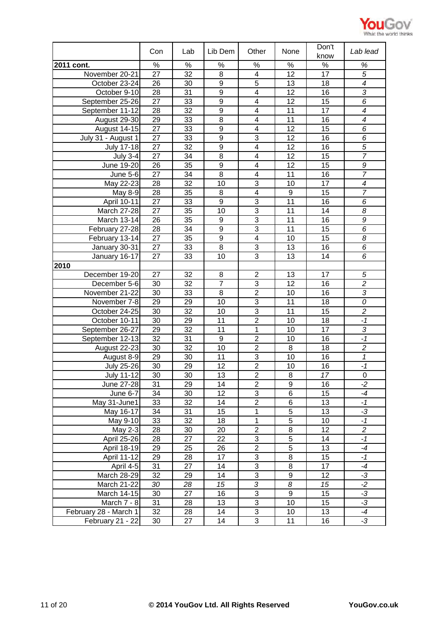

|                       | Con             | Lab  | Lib Dem          | Other                     | None             | Don't           | Lab lead                 |
|-----------------------|-----------------|------|------------------|---------------------------|------------------|-----------------|--------------------------|
|                       |                 |      |                  |                           |                  | know            |                          |
| 2011 cont.            | $\%$            | $\%$ | $\%$             | $\%$                      | $\%$             | $\%$            | $\%$                     |
| November 20-21        | $\overline{27}$ | 32   | 8                | $\overline{\mathbf{4}}$   | $\overline{12}$  | $\overline{17}$ | $\overline{5}$           |
| October 23-24         | 26              | 30   | $\boldsymbol{9}$ | $\overline{5}$            | 13               | 18              | $\overline{\mathcal{A}}$ |
| October 9-10          | 28              | 31   | 9                | $\overline{\mathbf{4}}$   | 12               | 16              | 3                        |
| September 25-26       | 27              | 33   | $\boldsymbol{9}$ | $\overline{\mathbf{4}}$   | 12               | 15              | 6                        |
| September 11-12       | 28              | 32   | $\overline{9}$   | $\overline{4}$            | $\overline{11}$  | $\overline{17}$ | $\overline{\mathcal{A}}$ |
| August 29-30          | 29              | 33   | $\overline{8}$   | 4                         | 11               | 16              | $\overline{\mathcal{A}}$ |
| <b>August 14-15</b>   | 27              | 33   | $\overline{9}$   | $\overline{4}$            | 12               | 15              | 6                        |
| July 31 - August 1    | 27              | 33   | 9                | 3                         | 12               | 16              | 6                        |
| <b>July 17-18</b>     | 27              | 32   | $\overline{9}$   | $\overline{4}$            | $\overline{12}$  | 16              | $\overline{5}$           |
| <b>July 3-4</b>       | 27              | 34   | 8                | 4                         | 12               | 15              | $\overline{7}$           |
| June 19-20            | 26              | 35   | $\boldsymbol{9}$ | $\overline{\mathbf{4}}$   | 12               | 15              | 9                        |
| <b>June 5-6</b>       | 27              | 34   | 8                | 4                         | 11               | 16              | $\overline{7}$           |
| May 22-23             | 28              | 32   | 10               | 3                         | 10               | 17              | $\overline{4}$           |
| May 8-9               | 28              | 35   | 8                | $\overline{\mathbf{4}}$   | $\boldsymbol{9}$ | 15              | $\overline{7}$           |
| April 10-11           | 27              | 33   | $\boldsymbol{9}$ | 3                         | 11               | 16              | 6                        |
| <b>March 27-28</b>    | 27              | 35   | 10               | 3                         | 11               | 14              | 8                        |
| March 13-14           | 26              | 35   | $\boldsymbol{9}$ | 3                         | 11               | 16              | 9                        |
| February 27-28        | 28              | 34   | 9                | 3                         | 11               | 15              | 6                        |
| February 13-14        | 27              | 35   | $\boldsymbol{9}$ | $\overline{\mathbf{4}}$   | 10               | 15              | 8                        |
| January 30-31         | 27              | 33   | 8                | 3                         | 13               | 16              | 6                        |
| January 16-17         | 27              | 33   | 10               | 3                         | 13               | 14              | 6                        |
| 2010                  |                 |      |                  |                           |                  |                 |                          |
| December 19-20        | 27              | 32   | 8                | $\overline{2}$            | 13               | 17              | $\sqrt{5}$               |
| December 5-6          | 30              | 32   | $\overline{7}$   | 3                         | 12               | 16              | $\overline{2}$           |
| November 21-22        | 30              | 33   | 8                | $\overline{2}$            | 10               | 16              | $\sqrt{3}$               |
| November 7-8          | 29              | 29   | 10               | 3                         | 11               | 18              | 0                        |
| October 24-25         | 30              | 32   | 10               | $\overline{3}$            | 11               | 15              | $\overline{2}$           |
| October 10-11         | 30              | 29   | 11               | $\overline{2}$            | 10               | 18              | $-1$                     |
| September 26-27       | 29              | 32   | 11               | 1                         | 10               | 17              | $\sqrt{3}$               |
| September 12-13       | 32              | 31   | 9                | $\overline{2}$            | 10               | 16              | $-1$                     |
| August 22-23          | 30              | 32   | 10               | $\overline{2}$            | 8                | 18              | $\overline{c}$           |
| August 8-9            | 29              | 30   | 11               | 3                         | 10               | 16              | $\mathbf{1}$             |
| <b>July 25-26</b>     | 30              | 29   | 12               | $\overline{2}$            | 10               | 16              | $-1$                     |
| <b>July 11-12</b>     | 30              | 30   | 13               | $\mathbf{2}$              | 8                | 17              | 0                        |
| June 27-28            | 31              | 29   | 14               | $\overline{2}$            | $\overline{9}$   | 16              | $-2$                     |
| June $6-7$            | 34              | 30   | 12               | 3                         | $\overline{6}$   | 15              | $-4$                     |
| May 31-June1          | 33              | 32   | 14               | $\overline{2}$            | 6                | 13              | $-1$                     |
| May 16-17             | 34              | 31   | $\overline{15}$  | $\overline{1}$            | $\overline{5}$   | 13              | $-3$                     |
| May 9-10              | 33              | 32   | 18               | 1                         | $\overline{5}$   | 10              | $-1$                     |
| May $2-3$             | 28              | 30   | 20               | $\overline{c}$            | 8                | 12              | $\overline{2}$           |
| April 25-26           | 28              | 27   | 22               | 3                         | $\overline{5}$   | 14              | $-1$                     |
| April 18-19           | 29              | 25   | 26               | $\overline{2}$            | $\overline{5}$   | 13              | $-4$                     |
| April 11-12           | 29              | 28   | 17               | 3                         | $\,8\,$          | 15              | $-1$                     |
| April 4-5             | 31              | 27   | 14               | 3                         | 8                | 17              | $-4$                     |
| March 28-29           | 32              | 29   | 14               | 3                         | 9                | 12              | $-3$                     |
| March 21-22           | 30              | 28   | 15               | $\overline{3}$            | $\overline{8}$   | 15              | $-2$                     |
| March 14-15           | 30              | 27   | 16               | $\ensuremath{\mathsf{3}}$ | $\boldsymbol{9}$ | 15              | $-3$                     |
| March 7 - 8           | 31              | 28   | 13               | 3                         | 10               | 15              | $-3$                     |
| February 28 - March 1 | 32              | 28   | 14               | 3                         | 10               | 13              | $-4$                     |
| February 21 - 22      | 30              | 27   | 14               | 3                         | 11               | 16              | $-3$                     |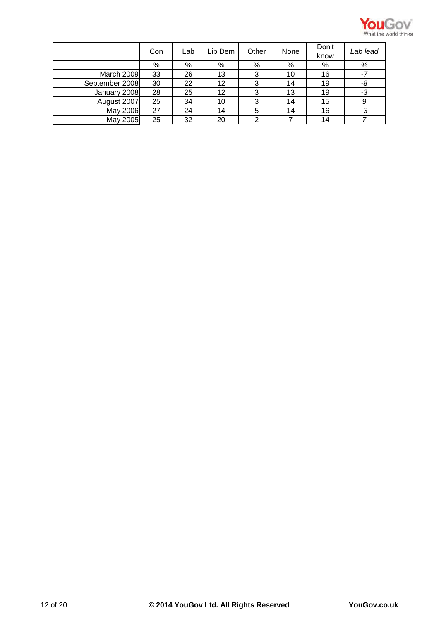

|                | Con | Lab | Lib Dem | Other | None | Don't<br>know | Lab lead |
|----------------|-----|-----|---------|-------|------|---------------|----------|
|                | %   | %   | %       | %     | %    | %             | %        |
| March 2009     | 33  | 26  | 13      | 3     | 10   | 16            | -7       |
| September 2008 | 30  | 22  | 12      | 3     | 14   | 19            | -8       |
| January 2008   | 28  | 25  | 12      | 3     | 13   | 19            | -3       |
| August 2007    | 25  | 34  | 10      |       | 14   | 15            | 9        |
| May 2006       | 27  | 24  | 14      |       | 14   | 16            | -3       |
| May 2005       | 25  | 32  | 20      | 2     |      | 14            |          |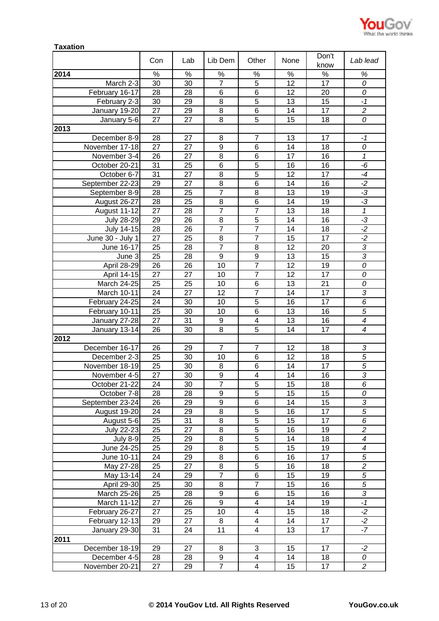

| Don't<br>Con<br>Lab<br>Lib Dem<br>Other<br>None<br>know                                                               | Lab lead                 |
|-----------------------------------------------------------------------------------------------------------------------|--------------------------|
|                                                                                                                       |                          |
| 2014<br>%<br>%<br>$\%$<br>%<br>$\%$<br>$\%$                                                                           | $\%$                     |
| $\overline{7}$<br>5<br>March 2-3<br>30<br>30<br>12<br>17                                                              | 0                        |
| $\overline{28}$<br>$\overline{6}$<br>$\overline{6}$<br>28<br>12<br>February 16-17<br>20                               | 0                        |
| $\overline{5}$<br>30<br>8<br>February 2-3<br>29<br>13<br>15                                                           | $-1$                     |
| 27<br>8<br>6<br>January 19-20<br>17<br>29<br>14                                                                       | $\overline{c}$           |
| $\overline{5}$<br>27<br>27<br>8<br>15<br>18<br>January 5-6                                                            | 0                        |
| 2013                                                                                                                  |                          |
| December 8-9<br>28<br>27<br>$\overline{7}$<br>13<br>17<br>8                                                           | $-1$                     |
| $\boldsymbol{9}$<br>6<br>November 17-18<br>27<br>14<br>18<br>27                                                       | 0                        |
| 26<br>27<br>8<br>6<br>17<br>16<br>November 3-4                                                                        | 1                        |
| $\overline{5}$<br>6<br>16<br>October 20-21<br>31<br>25<br>16                                                          | -6                       |
| $\overline{5}$<br>8<br>31<br>12<br>17<br>27<br>October 6-7                                                            | $-4$                     |
| 6<br>8<br>29<br>27<br>September 22-23<br>14<br>16                                                                     | $-2$                     |
| $\overline{7}$<br>8<br>September 8-9<br>28<br>25<br>13<br>19                                                          | $-3$                     |
| 28<br>August 26-27<br>25<br>8<br>6<br>14<br>19                                                                        | $-3$                     |
| $\overline{7}$<br>$\overline{7}$<br>27<br>13<br>18<br>August 11-12<br>28                                              | $\mathcal I$             |
| 29<br>8<br>5<br>14<br><b>July 28-29</b><br>26<br>16                                                                   | $-3$                     |
| $\overline{7}$<br>$\overline{7}$<br>28<br>26<br>July 14-15<br>14<br>18                                                | $-2$                     |
| 27<br>$\overline{7}$<br>June $30 -$ July 1<br>25<br>8<br>15<br>17                                                     | $-2$                     |
| $\overline{7}$<br>25<br>8<br>12<br>June 16-17<br>28<br>20                                                             | $\overline{3}$           |
| 25<br>9<br>9<br>13<br>15<br>28<br>June 3                                                                              | $\overline{3}$           |
| $\overline{7}$<br>26<br>12<br>19<br>April 28-29<br>26<br>10                                                           | 0                        |
| $\overline{7}$<br>17<br>27<br>27<br>10<br>12<br>April 14-15                                                           | 0                        |
| $\overline{6}$<br>25<br>10<br>13<br>21<br>25<br>March 24-25                                                           | 0                        |
| $\overline{7}$<br>24<br>12<br>17<br>March 10-11<br>27<br>14                                                           | $\sqrt{3}$               |
| $\overline{5}$<br>24<br>16<br>17<br>February 24-25<br>30<br>10                                                        | 6                        |
| $\overline{6}$<br>25<br>30<br>13<br>16<br>February 10-11<br>10                                                        | $\overline{5}$           |
| 31<br>$\overline{\mathbf{4}}$<br>13<br>27<br>9<br>16<br>January 27-28                                                 | $\overline{\mathcal{A}}$ |
| $\overline{5}$<br>8<br>17<br>26<br>30<br>14<br>January 13-14                                                          | $\overline{\mathcal{A}}$ |
| 2012                                                                                                                  |                          |
| December 16-17<br>26<br>29<br>$\overline{7}$<br>12<br>$\overline{7}$<br>18                                            | 3                        |
| December 2-3<br>25<br>30<br>10<br>$6\phantom{1}6$<br>12<br>18                                                         | 5                        |
| November 18-19<br>25<br>30<br>8<br>6<br>14<br>17                                                                      | 5                        |
| 27<br>14<br>16<br>November 4-5<br>30<br>9<br>4<br>$\overline{7}$<br>$\overline{5}$<br>October 21-22<br>30<br>15<br>18 | 3<br>6                   |
| 24<br>$\overline{28}$<br>$\overline{9}$<br>$\overline{5}$<br>28<br>15<br>15<br>October 7-8                            | 0                        |
| $\overline{9}$<br>$\overline{6}$<br>26<br>29<br>15<br>September 23-24<br>14                                           | $\overline{3}$           |
| $\overline{5}$<br>24<br>8<br>16<br>17<br>August 19-20<br>29                                                           | $\overline{5}$           |
| $\overline{5}$<br>25<br>8<br>15<br>17<br>August 5-6<br>31                                                             | 6                        |
| $\overline{5}$<br>$\overline{25}$<br>$\overline{8}$<br>$\overline{16}$<br><b>July 22-23</b><br>27<br>19               | $\overline{2}$           |
| $\overline{5}$<br>25<br>8<br>14<br>18<br><b>July 8-9</b><br>29                                                        | $\boldsymbol{4}$         |
| $\overline{5}$<br>$\overline{8}$<br>June 24-25<br>25<br>15<br>19<br>29                                                | $\overline{\mathcal{A}}$ |
| 6<br>24<br>8<br>16<br>June 10-11<br>29<br>17                                                                          | $\sqrt{5}$               |
| $\overline{5}$<br>$\overline{8}$<br>25<br>16<br>May 27-28<br>27<br>18                                                 | $\overline{2}$           |
| $\overline{7}$<br>$\overline{6}$<br>15<br>24<br>May 13-14<br>29<br>19                                                 | $\overline{5}$           |
| $\overline{7}$<br>April 29-30<br>25<br>8<br>15<br>30<br>16                                                            | $\sqrt{5}$               |
| March 25-26<br>25<br>28<br>9<br>6<br>15<br>16                                                                         | $\sqrt{3}$               |
| $\overline{9}$<br>March 11-12<br>$\overline{\mathbf{4}}$<br>27<br>26<br>14<br>19                                      | $-1$                     |
| 27<br>10<br>4<br>15<br>18<br>February 26-27<br>25                                                                     | $-2$                     |
| 29<br>27<br>8<br>$\overline{\mathbf{4}}$<br>14<br>17<br>February 12-13                                                | $-2$                     |
| 31<br>11<br>4<br>13<br>17<br>January 29-30<br>24                                                                      | $-7$                     |
| 2011                                                                                                                  |                          |
| 3<br>17<br>December 18-19<br>29<br>27<br>8<br>15                                                                      | $-2$                     |
| 28<br>9<br>$\overline{\mathbf{4}}$<br>18<br>December 4-5<br>28<br>14                                                  | 0                        |
| $\overline{7}$<br>November 20-21<br>27<br>4<br>15<br>17<br>29                                                         | $\overline{c}$           |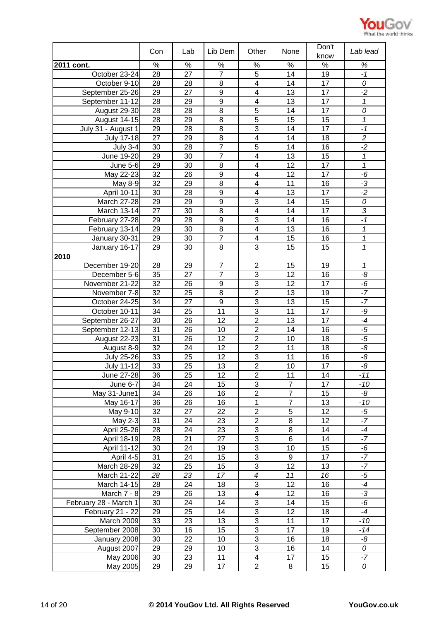

|                       | Con             | Lab             | Lib Dem          | Other                   | None             | Don't<br>know   | Lab lead                |
|-----------------------|-----------------|-----------------|------------------|-------------------------|------------------|-----------------|-------------------------|
| 2011 cont.            | $\%$            | $\%$            | $\%$             | %                       | $\%$             | %               | %                       |
| October 23-24         | 28              | 27              | $\overline{7}$   | 5                       | 14               | 19              | $-1$                    |
| October 9-10          | 28              | 28              | 8                | 4                       | 14               | 17              | 0                       |
| September 25-26       | 29              | 27              | $\boldsymbol{9}$ | 4                       | 13               | 17              | $-2$                    |
| September 11-12       | $\overline{28}$ | 29              | $\overline{9}$   | $\overline{4}$          | 13               | $\overline{17}$ | $\overline{1}$          |
| August 29-30          | 28              | 28              | 8                | $\overline{5}$          | 14               | 17              | 0                       |
| August 14-15          | 28              | 29              | 8                | $\overline{5}$          | 15               | 15              | 1                       |
| July 31 - August 1    | 29              | 28              | 8                | 3                       | 14               | 17              | $-1$                    |
| <b>July 17-18</b>     | $\overline{27}$ | 29              | $\overline{8}$   | $\overline{4}$          | $\overline{14}$  | 18              | $\overline{2}$          |
| <b>July 3-4</b>       | 30              | 28              | $\overline{7}$   | 5                       | 14               | 16              | $\overline{2}$          |
| June 19-20            | 29              | 30              | $\overline{7}$   | $\overline{\mathbf{4}}$ | 13               | 15              | 1                       |
| June 5-6              | 29              | 30              | 8                | 4                       | 12               | 17              | $\overline{\mathbf{1}}$ |
| May 22-23             | 32              | 26              | $\boldsymbol{9}$ | $\overline{\mathbf{4}}$ | 12               | 17              | -6                      |
| May 8-9               | 32              | 29              | 8                | 4                       | 11               | 16              | $-3$                    |
| April 10-11           | 30              | 28              | 9                | $\overline{\mathbf{4}}$ | 13               | 17              | $-2$                    |
| <b>March 27-28</b>    | 29              | 29              | 9                | 3                       | 14               | 15              | 0                       |
| March 13-14           | 27              | 30              | 8                | $\overline{\mathbf{4}}$ | 14               | 17              | 3                       |
| February 27-28        | 29              | 28              | 9                | 3                       | 14               | 16              | $-1$                    |
| February 13-14        | 29              | 30              | 8                | $\overline{\mathbf{4}}$ | 13               | 16              | 1                       |
| January 30-31         | 29              | 30              | $\overline{7}$   | 4                       | 15               | 16              | 1                       |
| January 16-17         | 29              | 30              | 8                | 3                       | 15               | 15              | 1                       |
| 2010                  |                 |                 |                  |                         |                  |                 |                         |
| December 19-20        | 28              | 29              | $\overline{7}$   | $\overline{2}$          | 15               | 19              | 1                       |
| December 5-6          | 35              | 27              | $\overline{7}$   | $\overline{3}$          | 12               | 16              | -8                      |
| November 21-22        | 32              | 26              | 9                | 3                       | 12               | 17              | -6                      |
| November 7-8          | 32              | 25              | $\overline{8}$   | $\overline{2}$          | 13               | 19              | $-7$                    |
| October 24-25         | 34              | 27              | $\boldsymbol{9}$ | 3                       | 13               | 15              | $-7$                    |
| October 10-11         | 34              | 25              | $\overline{11}$  | $\overline{3}$          | 11               | 17              | -9                      |
| September 26-27       | 30              | 26              | 12               | $\overline{2}$          | 13               | 17              | $-4$                    |
| September 12-13       | 31              | 26              | 10               | $\overline{2}$          | 14               | 16              | $-5$                    |
| August 22-23          | $\overline{31}$ | 26              | 12               | $\overline{2}$          | 10               | 18              | $-5$                    |
| August 8-9            | 32              | 24              | 12               | $\overline{2}$          | 11               | 18              | -8                      |
| <b>July 25-26</b>     | 33              | 25              | 12               | 3                       | 11               | 16              | -8                      |
| <b>July 11-12</b>     | 33              | $\overline{25}$ | 13               | $\overline{2}$          | 10               | 17              | $-\frac{8}{5}$          |
| June 27-28            | 36              | 25              | 12               | $\mathbf 2$             | 11               | 14              | $-11$                   |
| <b>June 6-7</b>       | 34              | 24              | 15               | 3                       | $\overline{7}$   | 17              | $-10$                   |
| May 31-June1          | 34              | 26              | 16               | $\overline{2}$          | $\overline{7}$   | 15              | -8                      |
| May 16-17             | $\overline{36}$ | 26              | 16               | $\overline{1}$          | $\overline{7}$   | $\overline{13}$ | $-10$                   |
| May 9-10              | $\overline{32}$ | 27              | $\overline{22}$  | $\overline{2}$          | $\overline{5}$   | 12              | $-5$                    |
| <b>May 2-3</b>        | $\overline{31}$ | 24              | 23               | $\overline{2}$          | 8                | $\overline{12}$ | $-7$                    |
| April 25-26           | 28              | 24              | 23               | 3                       | 8                | 14              | $-4$                    |
| April 18-19           | 28              | 21              | $\overline{27}$  | $\overline{3}$          | $\overline{6}$   | 14              | $-7$                    |
| April 11-12           | 30              | 24              | 19               | 3                       | 10               | 15              | $-6$                    |
| April 4-5             | 31              | 24              | 15               | 3                       | $\boldsymbol{9}$ | 17              | $-7$                    |
| March 28-29           | 32              | 25              | 15               | 3                       | 12               | 13              | $-7$                    |
| March 21-22           | 28              | 23              | 17               | $\boldsymbol{4}$        | 11               | 16              | $-5$                    |
| March 14-15           | 28              | 24              | 18               | 3                       | 12               | 16              | $-4$                    |
| March 7 - 8           | 29              | 26              | 13               | 4                       | 12               | 16              | $-3$                    |
| February 28 - March 1 | 30              | 24              | 14               | 3                       | 14               | 15              | -6                      |
| February 21 - 22      | 29              | 25              | 14               | 3                       | 12               | 18              | $-4$                    |
| March 2009            | 33              | 23              | 13               | $\overline{3}$          | 11               | 17              | $-10$                   |
| September 2008        | 30              | 16              | 15               | 3                       | 17               | 19              | -14                     |
| January 2008          | 30              | 22              | 10               | $\overline{3}$          | 16               | 18              | -8                      |
| August 2007           | 29              | 29              | 10               | 3                       | 16               | 14              | 0                       |
| May 2006              | 30              | 23              | 11               | $\overline{\mathbf{4}}$ | 17               | 15              | $-7$                    |
| May 2005              | 29              | 29              | 17               | $\overline{2}$          | 8                | 15              | 0                       |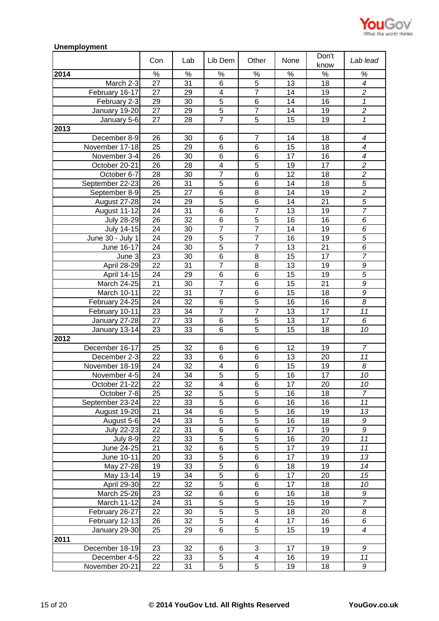

## **Unemployment**

|                   | Con             | Lab             | Lib Dem                 | Other                            | None            | Don't<br>know   | Lab lead                                   |
|-------------------|-----------------|-----------------|-------------------------|----------------------------------|-----------------|-----------------|--------------------------------------------|
| 2014              | $\%$            | $\%$            | $\%$                    | $\%$                             | %               | $\%$            | %                                          |
| March 2-3         | 27              | $\overline{31}$ | $\overline{6}$          | $\overline{5}$                   | $\overline{13}$ | $\overline{18}$ | $\overline{4}$                             |
|                   |                 |                 | $\overline{\mathbf{4}}$ | $\overline{7}$                   | 14              | 19              |                                            |
| February 16-17    | 27              | 29              | $\overline{5}$          | $\overline{6}$                   |                 |                 | $\overline{c}$<br>$\overline{\mathcal{L}}$ |
| February 2-3      | 29              | 30              |                         |                                  | 14              | 16              |                                            |
| January 19-20     | 27              | 29              | $\overline{5}$          | $\overline{7}$                   | 14              | 19              | $\overline{2}$                             |
| January 5-6       | 27              | 28              | $\overline{7}$          | $\overline{5}$                   | 15              | 19              | $\mathbf{1}$                               |
| 2013              |                 |                 |                         |                                  |                 |                 |                                            |
| December 8-9      | 26              | 30              | 6                       | $\overline{7}$                   | 14              | 18              | 4                                          |
| November 17-18    | 25              | 29              | 6                       | 6                                | 15              | 18              | $\boldsymbol{4}$                           |
| November 3-4      | 26              | 30              | 6                       | 6                                | 17              | 16              | $\overline{4}$                             |
| October 20-21     | 26              | 28              | $\overline{\mathbf{4}}$ | 5                                | 19              | 17              | $\overline{c}$                             |
| October 6-7       | 28              | 30              | $\overline{7}$          | 6                                | 12              | 18              | $\overline{c}$                             |
| September 22-23   | 26              | 31              | 5                       | 6                                | 14              | 18              | 5                                          |
| September 8-9     | 25              | 27              | $\,6$                   | 8                                | 14              | 19              | $\overline{2}$                             |
| August 27-28      | 24              | 29              | $\overline{5}$          | 6                                | 14              | 21              | $\overline{5}$                             |
| August 11-12      | 24              | 31              | 6                       | $\overline{7}$                   | 13              | 19              | $\overline{7}$                             |
| <b>July 28-29</b> | 26              | 32              | 6                       | $\overline{5}$                   | 16              | 16              | 6                                          |
| <b>July 14-15</b> | 24              | 30              | $\overline{7}$          | $\overline{7}$                   | 14              | 19              | 6                                          |
| June 30 - July 1  | 24              | 29              | $\overline{5}$          | $\overline{7}$                   | 16              | 19              | $\overline{5}$                             |
| June 16-17        | 24              | 30              | $\overline{5}$          | $\overline{7}$                   | 13              | 21              | $\overline{6}$                             |
| June 3            | 23              | 30              | $\,6$                   | 8                                | 15              | 17              | $\overline{7}$                             |
| April 28-29       | 22              | 31              | $\overline{7}$          | 8                                | 13              | 19              | 9                                          |
| April 14-15       | 24              | 29              | 6                       | 6                                | 15              | 19              | $\overline{5}$                             |
| March 24-25       | 21              | 30              | $\overline{7}$          | 6                                | 15              | 21              | 9                                          |
| March 10-11       | 22              | 31              | $\overline{7}$          | 6                                | 15              | 18              | 9                                          |
| February 24-25    | 24              | 32              | 6                       | 5                                | 16              | 16              | 8                                          |
| February 10-11    | 23              | 34              | $\overline{7}$          | $\overline{7}$                   | 13              | 17              | 11                                         |
| January 27-28     | 27              | 33              | $\,6$                   | 5                                | 13              | 17              | 6                                          |
| January 13-14     | 23              | 33              | 6                       | 5                                | 15              | 18              | 10                                         |
| 2012              |                 |                 |                         |                                  |                 |                 |                                            |
| December 16-17    | 25              | 32              | 6                       | 6                                | 12              | 19              | $\overline{7}$                             |
| December 2-3      | $\overline{22}$ | 33              | 6                       | 6                                | 13              | 20              | 11                                         |
| November 18-19    | 24              | 32              | $\overline{\mathbf{4}}$ | 6                                | 15              | 19              | 8                                          |
|                   |                 |                 |                         |                                  |                 | 17              |                                            |
| November 4-5      | 24              | 34              | 5                       | $\overline{5}$<br>$\overline{6}$ | 16              |                 | 10                                         |
| October 21-22     | $\overline{22}$ | $\overline{32}$ | $\overline{4}$          |                                  | 17              | $\overline{20}$ | 10                                         |
| October 7-8       | 25              | 32              | 5                       | 5                                | 16              | 18              | $\overline{7}$                             |
| September 23-24   | 22              | 33              | $\overline{5}$          | 6                                | 16              | 16              | 11                                         |
| August 19-20      | 21              | 34              | 6                       | 5                                | 16              | 19              | 13                                         |
| August 5-6        | 24              | 33              | $\overline{5}$          | $\overline{5}$                   | 16              | 18              | 9                                          |
| July 22-23        | 22              | 31              | 6                       | 6                                | 17              | 19              | 9                                          |
| <b>July 8-9</b>   | 22              | 33              | $\overline{5}$          | $\overline{5}$                   | 16              | 20              | 11                                         |
| June 24-25        | 21              | 32              | 6                       | 5                                | 17              | 19              | 11                                         |
| June 10-11        | 20              | 33              | $\overline{5}$          | 6                                | 17              | 19              | 13                                         |
| May 27-28         | 19              | 33              | 5                       | 6                                | 18              | 19              | 14                                         |
| May 13-14         | 19              | 34              | $\overline{5}$          | 6                                | 17              | 20              | 15                                         |
| April 29-30       | 22              | 32              | $\mathbf 5$             | 6                                | 17              | 18              | 10                                         |
| March 25-26       | $\overline{23}$ | 32              | $\overline{6}$          | $\overline{6}$                   | 16              | 18              | 9                                          |
| March 11-12       | 24              | 31              | $\overline{5}$          | $\overline{5}$                   | 15              | 19              | $\overline{7}$                             |
| February 26-27    | 22              | 30              | $\overline{5}$          | 5                                | 18              | 20              | 8                                          |
| February 12-13    | 26              | 32              | 5                       | $\overline{\mathbf{4}}$          | 17              | 16              | 6                                          |
| January 29-30     | 25              | 29              | 6                       | 5                                | 15              | 19              | $\overline{\mathcal{A}}$                   |
| 2011              |                 |                 |                         |                                  |                 |                 |                                            |
| December 18-19    | 23              | 32              | 6                       | 3                                | 17              | 19              | 9                                          |
| December 4-5      | 22              | 33              | 5                       | 4                                | 16              | 19              | 11                                         |
| November 20-21    | 22              | 31              | 5                       | 5                                | 19              | 18              | 9                                          |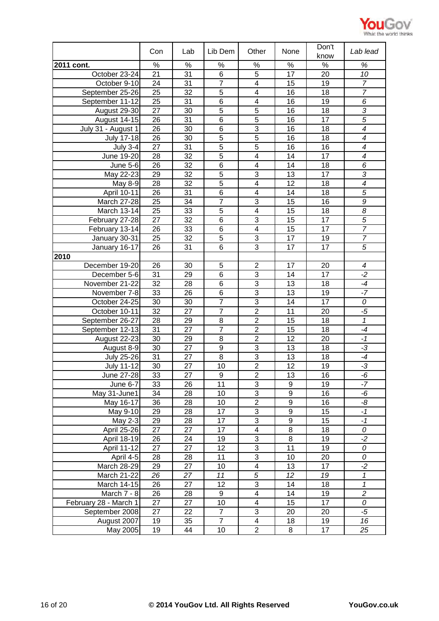

|                       | Con             | Lab | Lib Dem          | Other                   | None            | Don't<br>know   | Lab lead                   |
|-----------------------|-----------------|-----|------------------|-------------------------|-----------------|-----------------|----------------------------|
| 2011 cont.            | $\%$            | %   | $\%$             | $\%$                    | $\%$            | $\%$            | %                          |
| October 23-24         | 21              | 31  | 6                | 5                       | 17              | 20              | 10                         |
| October 9-10          | 24              | 31  | $\overline{7}$   | $\overline{\mathbf{4}}$ | 15              | 19              | $\overline{7}$             |
| September 25-26       | 25              | 32  | $\overline{5}$   | 4                       | 16              | 18              | $\overline{7}$             |
| September 11-12       | 25              | 31  | 6                | 4                       | 16              | 19              | 6                          |
| August 29-30          | $\overline{27}$ | 30  | $\overline{5}$   | $\overline{5}$          | 16              | 18              | $\overline{3}$             |
| August 14-15          | 26              | 31  | $\overline{6}$   | $\overline{5}$          | 16              | $\overline{17}$ | $\overline{5}$             |
| July 31 - August 1    | 26              | 30  | $\overline{6}$   | 3                       | 16              | 18              | $\overline{4}$             |
| <b>July 17-18</b>     | 26              | 30  | $\overline{5}$   | $\overline{5}$          | 16              | 18              | $\overline{\mathcal{A}}$   |
| <b>July 3-4</b>       | $\overline{27}$ | 31  | $\overline{5}$   | $\overline{5}$          | $\overline{16}$ | $\overline{16}$ | $\overline{4}$             |
| June 19-20            | 28              | 32  | $\overline{5}$   | $\overline{4}$          | 14              | 17              | $\overline{4}$             |
| June 5-6              | 26              | 32  | $\,6$            | 4                       | 14              | 18              | $\overline{6}$             |
| May 22-23             | 29              | 32  | $\overline{5}$   | 3                       | 13              | 17              | 3                          |
| May 8-9               | 28              | 32  | 5                | $\overline{\mathbf{4}}$ | 12              | 18              | $\overline{4}$             |
| April 10-11           | 26              | 31  | $\,6$            | $\overline{\mathbf{4}}$ | 14              | 18              | $\overline{5}$             |
| <b>March 27-28</b>    | 25              | 34  | $\overline{7}$   | 3                       | 15              | 16              | 9                          |
| March 13-14           | 25              | 33  | 5                | $\overline{\mathbf{4}}$ | 15              | 18              | 8                          |
| February 27-28        | 27              | 32  | 6                | 3                       | 15              | 17              | $\overline{5}$             |
| February 13-14        | 26              | 33  | 6                | $\overline{\mathbf{4}}$ | 15              | 17              | $\overline{7}$             |
| January 30-31         | 25              | 32  | 5                | 3                       | 17              | 19              | $\overline{7}$             |
| January 16-17         | 26              | 31  | 6                | 3                       | 17              | 17              | 5                          |
| 2010                  |                 |     |                  |                         |                 |                 |                            |
| December 19-20        | 26              | 30  | 5                | $\overline{2}$          | 17              | 20              | $\overline{\mathcal{A}}$   |
| December 5-6          | 31              | 29  | 6                | $\overline{3}$          | 14              | 17              | $-2$                       |
| November 21-22        | 32              | 28  | 6                | 3                       | 13              | 18              | $-4$                       |
| November 7-8          | 33              | 26  | 6                | 3                       | 13              | 19              | $-7$                       |
| October 24-25         | 30              | 30  | $\overline{7}$   | $\overline{3}$          | 14              | $\overline{17}$ | $\overline{o}$             |
| October 10-11         | $\overline{32}$ | 27  | $\overline{7}$   | $\overline{2}$          | 11              | 20              | $-5$                       |
| September 26-27       | 28              | 29  | 8                | $\overline{2}$          | 15              | 18              | 1                          |
| September 12-13       | 31              | 27  | $\overline{7}$   | $\overline{2}$          | 15              | 18              | $-4$                       |
| August 22-23          | $\overline{30}$ | 29  | 8                | $\overline{2}$          | 12              | 20              | $-1$                       |
| August 8-9            | 30              | 27  | $\boldsymbol{9}$ | $\overline{3}$          | 13              | 18              | $-3$                       |
| <b>July 25-26</b>     | 31              | 27  | 8                | $\overline{3}$          | 13              | 18              | $-4$                       |
| <b>July 11-12</b>     | 30              | 27  | 10               | $\overline{2}$          | 12              | 19              | $-3$                       |
| June 27-28            | 33              | 27  | 9                | $\overline{2}$          | 13              | 16              | -6                         |
| June 6-7              | 33              | 26  | 11               | $\overline{3}$          | 9               | 19              | $-7$                       |
| May 31-June1          | 34              | 28  | 10               | 3                       | 9               | 16              | -6                         |
| May 16-17             | 36              | 28  | 10               | $\overline{2}$          | 9               | 16              | -8                         |
| <b>May 9-10</b>       | $\overline{29}$ | 28  | $\overline{17}$  | $\overline{3}$          | $\overline{9}$  | $\overline{15}$ | $-1$                       |
| May 2-3               | 29              | 28  | $\overline{17}$  | $\overline{3}$          | $\overline{9}$  | 15              | $-1$                       |
| April 25-26           | 27              | 27  | 17               | $\overline{\mathbf{4}}$ | 8               | 18              | 0                          |
| April 18-19           | 26              | 24  | 19               | 3                       | 8               | 19              | $-2$                       |
| April 11-12           | $\overline{27}$ | 27  | $\overline{12}$  | $\overline{3}$          | $\overline{11}$ | 19              | $\overline{o}$             |
| April 4-5             | 28              | 28  | 11               | $\overline{3}$          | 10              | 20              | 0                          |
| March 28-29           | 29              | 27  | 10               | $\overline{\mathbf{4}}$ | 13              | 17              | $-2$                       |
| March 21-22           | 26              | 27  | 11               | $\sqrt{5}$              | 12              | 19              | $\boldsymbol{\mathcal{I}}$ |
| March 14-15           | 26              | 27  | 12               | 3                       | 14              | 18              | $\overline{\mathcal{L}}$   |
| March 7 - 8           | 26              | 28  | 9                | 4                       | 14              | 19              | $\overline{2}$             |
| February 28 - March 1 | 27              | 27  | 10               | 4                       | 15              | 17              | 0                          |
| September 2008        | 27              | 22  | $\overline{7}$   | 3                       | 20              | 20              | $-5$                       |
| August 2007           | 19              | 35  | $\overline{7}$   | 4                       | 18              | 19              | 16                         |
| May 2005              | 19              | 44  | 10               | $\overline{c}$          | 8               | 17              | 25                         |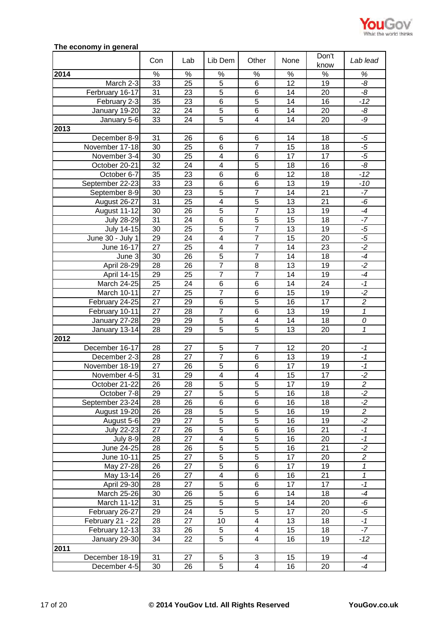

# **The economy in general**

|                   | Con             | Lab  | Lib Dem                 | Other                   | None            | Don't<br>know | Lab lead       |
|-------------------|-----------------|------|-------------------------|-------------------------|-----------------|---------------|----------------|
| 2014              | %               | $\%$ | $\%$                    | $\%$                    | $\%$            | $\%$          | %              |
| March 2-3         | 33              | 25   | $\overline{5}$          | 6                       | 12              | 19            | -8             |
| Ferbruary 16-17   | 31              | 23   | $\overline{5}$          | 6                       | 14              | 20            | $-\frac{8}{5}$ |
| February 2-3      | 35              | 23   | 6                       | $\overline{5}$          | 14              | 16            | $-12$          |
| January 19-20     | 32              | 24   | 5                       | 6                       | 14              | 20            | -8             |
| January 5-6       | 33              | 24   | 5                       | $\overline{\mathbf{4}}$ | 14              | 20            | -9             |
| 2013              |                 |      |                         |                         |                 |               |                |
| December 8-9      | 31              | 26   | $6\phantom{1}$          | 6                       | 14              | 18            | $-5$           |
| November 17-18    | 30              | 25   | 6                       | $\overline{7}$          | 15              | 18            | $-5$           |
| November 3-4      | 30              | 25   | $\overline{4}$          | $\overline{6}$          | $\overline{17}$ | 17            | $-5$           |
| October 20-21     | 32              | 24   | $\overline{\mathbf{4}}$ | 5                       | 18              | 16            | $-8$           |
| October 6-7       | 35              | 23   | 6                       | 6                       | 12              | 18            | $-12$          |
| September 22-23   | 33              | 23   | 6                       | 6                       | 13              | 19            | $-10$          |
| September 8-9     | 30              | 23   | 5                       | $\overline{7}$          | 14              | 21            | $-7$           |
| August 26-27      | 31              | 25   | 4                       | $\overline{5}$          | 13              | 21            | $-6$           |
| August 11-12      | 30              | 26   | 5                       | $\overline{7}$          | 13              | 19            | $-4$           |
| <b>July 28-29</b> | 31              | 24   | $\,6$                   | $\overline{5}$          | 15              | 18            | $-7$           |
| July 14-15        | 30              | 25   | 5                       | $\overline{7}$          | 13              | 19            | $-5$           |
| June 30 - July 1  | 29              | 24   | 4                       | $\overline{7}$          | 15              | 20            | $-5$           |
| June 16-17        | 27              | 25   | 4                       | $\overline{7}$          | 14              | 23            | $-2$           |
| June 3            | 30              | 26   | $\overline{5}$          | $\overline{7}$          | 14              | 18            | $-4$           |
| April 28-29       | 28              | 26   | $\overline{7}$          | 8                       | 13              | 19            | $-2$           |
| April 14-15       | 29              | 25   | $\overline{7}$          | $\overline{7}$          | 14              | 19            | $-4$           |
| March 24-25       | 25              | 24   | $6\phantom{1}6$         | 6                       | 14              | 24            | $-1$           |
| March 10-11       | 27              | 25   | $\overline{7}$          | 6                       | 15              | 19            | $-2$           |
| February 24-25    | 27              | 29   | $\,6$                   | 5                       | 16              | 17            | $\overline{c}$ |
| February 10-11    | $\overline{27}$ | 28   | $\overline{7}$          | $\overline{6}$          | 13              | 19            | $\overline{1}$ |
| January 27-28     | 29              | 29   | $\overline{5}$          | $\overline{\mathbf{4}}$ | 14              | 18            | 0              |
| January 13-14     | 28              | 29   | $\overline{5}$          | $\overline{5}$          | 13              | 20            | $\mathbf{1}$   |
| 2012              |                 |      |                         |                         |                 |               |                |
| December 16-17    | 28              | 27   | 5                       | $\overline{7}$          | 12              | 20            | $-1$           |
| December 2-3      | 28              | 27   | $\overline{7}$          | $\,6$                   | 13              | 19            | $-1$           |
| November 18-19    | 27              | 26   | $\overline{5}$          | 6                       | $\overline{17}$ | 19            | $-1$           |
| November 4-5      | 31              | 29   | $\overline{\mathbf{4}}$ | $\overline{\mathbf{4}}$ | 15              | 17            | $-2$           |
| October 21-22     | 26              | 28   | 5                       | 5                       | 17              | 19            | 2              |
| October 7-8       | 29              | 27   | $\overline{5}$          | $\overline{5}$          | 16              | 18            | $-2$           |
| September 23-24   | 28              | 26   | 6                       | 6                       | 16              | 18            | $-2$           |
| August 19-20      | 26              | 28   | 5                       | 5                       | 16              | 19            | $\overline{c}$ |
| August 5-6        | 29              | 27   | $\overline{5}$          | $\overline{5}$          | 16              | 19            | $-2$           |
| <b>July 22-23</b> | 27              | 26   | $\overline{5}$          | $\,6$                   | 16              | 21            | $-1$           |
| <b>July 8-9</b>   | 28              | 27   | 4                       | $\overline{5}$          | 16              | 20            | $-1$           |
| June 24-25        | 28              | 26   | 5                       | 5                       | 16              | 21            | $-2$           |
| June 10-11        | $\overline{25}$ | 27   | $\overline{5}$          | $\overline{5}$          | $\overline{17}$ | 20            | $\overline{2}$ |
| May 27-28         | 26              | 27   | $\overline{5}$          | 6                       | $\overline{17}$ | 19            | 1              |
| May 13-14         | $\overline{26}$ | 27   | $\overline{4}$          | $\overline{6}$          | 16              | 21            | 1              |
| April 29-30       | 28              | 27   | 5                       | 6                       | 17              | 17            | $-1$           |
| March 25-26       | 30              | 26   | $\overline{5}$          | $\overline{6}$          | $\overline{14}$ | 18            | $-4$           |
| March 11-12       | 31              | 25   | $\overline{5}$          | $\overline{5}$          | 14              | 20            | -6             |
| February 26-27    | 29              | 24   | $\overline{5}$          | $\overline{5}$          | 17              | 20            | $-5$           |
| February 21 - 22  | 28              | 27   | 10                      | $\overline{\mathbf{4}}$ | 13              | 18            | $-1$           |
| February 12-13    | 33              | 26   | 5                       | $\overline{\mathbf{4}}$ | 15              | 18            | $-7$           |
| January 29-30     | 34              | 22   | 5                       | $\overline{\mathbf{4}}$ | 16              | 19            | $-12$          |
| 2011              |                 |      |                         |                         |                 |               |                |
| December 18-19    | 31              | 27   | 5                       | 3                       | 15              | 19            | $-4$           |
| December 4-5      | 30              | 26   | 5                       | $\overline{\mathbf{4}}$ | 16              | 20            | $-4$           |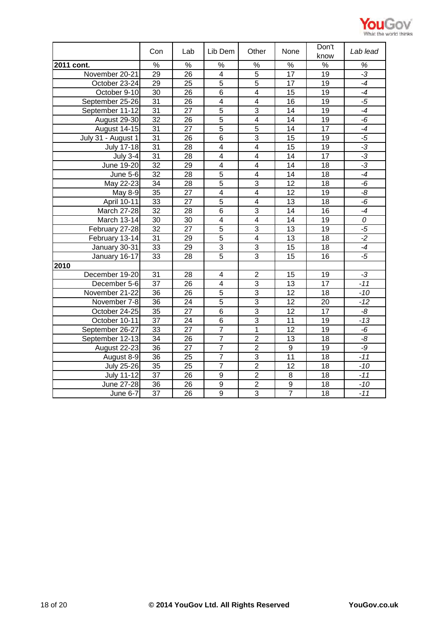

|                     | Con             | Lab             | Lib Dem                 | Other                   | None            | Don't<br>know   | Lab lead |
|---------------------|-----------------|-----------------|-------------------------|-------------------------|-----------------|-----------------|----------|
| 2011 cont.          | $\frac{9}{6}$   | $\frac{9}{6}$   | $\%$                    | %                       | $\frac{9}{6}$   | $\%$            | $\%$     |
| November 20-21      | $\overline{29}$ | 26              | $\overline{4}$          | $\overline{5}$          | 17              | $\overline{19}$ | $-3$     |
| October 23-24       | 29              | $\overline{25}$ | $\overline{5}$          | $\overline{5}$          | $\overline{17}$ | $\overline{19}$ | $-4$     |
| October 9-10        | 30              | 26              | $\overline{6}$          | $\overline{4}$          | $\overline{15}$ | 19              | $-4$     |
| September 25-26     | $\overline{31}$ | $\overline{26}$ | $\overline{4}$          | $\overline{4}$          | $\overline{16}$ | 19              | $-5$     |
| September 11-12     | 31              | 27              | $\overline{5}$          | 3                       | 14              | 19              | $-4$     |
| August 29-30        | $\overline{32}$ | 26              | $\overline{5}$          | $\overline{\mathbf{4}}$ | 14              | 19              | -6       |
| <b>August 14-15</b> | $\overline{31}$ | 27              | $\overline{5}$          | $\overline{5}$          | 14              | 17              | $-4$     |
| July 31 - August 1  | 31              | 26              | 6                       | 3                       | 15              | 19              | $-5$     |
| <b>July 17-18</b>   | $\overline{31}$ | 28              | $\overline{4}$          | $\overline{4}$          | $\overline{15}$ | $\overline{19}$ | $-3$     |
| <b>July 3-4</b>     | 31              | 28              | $\overline{\mathbf{4}}$ | $\overline{\mathbf{4}}$ | 14              | 17              | $-3$     |
| June 19-20          | 32              | 29              | $\overline{4}$          | $\overline{4}$          | 14              | 18              | $-3$     |
| <b>June 5-6</b>     | 32              | 28              | $\overline{5}$          | $\overline{4}$          | 14              | 18              | $-4$     |
| May 22-23           | 34              | 28              | $\overline{5}$          | $\overline{3}$          | 12              | 18              | $-6$     |
| May 8-9             | 35              | 27              | $\overline{4}$          | $\overline{4}$          | 12              | 19              | -8       |
| April 10-11         | 33              | 27              | $\overline{5}$          | $\overline{\mathbf{4}}$ | 13              | 18              | $-6$     |
| March 27-28         | 32              | 28              | 6                       | 3                       | 14              | 16              | $-4$     |
| March 13-14         | 30              | 30              | $\overline{\mathbf{4}}$ | $\overline{\mathbf{4}}$ | 14              | 19              | 0        |
| February 27-28      | 32              | 27              | 5                       | 3                       | 13              | 19              | $-5$     |
| February 13-14      | 31              | 29              | 5                       | $\overline{\mathbf{4}}$ | 13              | 18              | $-2$     |
| January 30-31       | 33              | 29              | $\overline{3}$          | $\overline{3}$          | 15              | 18              | $-4$     |
| January 16-17       | 33              | 28              | $\overline{5}$          | $\overline{3}$          | 15              | 16              | $-5$     |
| 2010                |                 |                 |                         |                         |                 |                 |          |
| December 19-20      | 31              | 28              | 4                       | $\overline{2}$          | 15              | 19              | $-3$     |
| December 5-6        | $\overline{37}$ | 26              | $\overline{4}$          | $\overline{3}$          | 13              | $\overline{17}$ | $-11$    |
| November 21-22      | 36              | 26              | $\overline{5}$          | 3                       | 12              | 18              | $-10$    |
| November 7-8        | 36              | 24              | $\overline{5}$          | $\overline{3}$          | 12              | 20              | $-12$    |
| October 24-25       | 35              | 27              | 6                       | 3                       | 12              | 17              | -8       |
| October 10-11       | $\overline{37}$ | 24              | 6                       | $\overline{3}$          | 11              | 19              | $-13$    |
| September 26-27     | 33              | 27              | $\overline{7}$          | $\mathbf{1}$            | 12              | 19              | $-6$     |
| September 12-13     | 34              | 26              | $\overline{7}$          | $\overline{2}$          | 13              | 18              | -8       |
| August 22-23        | $\overline{36}$ | 27              | $\overline{7}$          | $\overline{2}$          | $\overline{9}$  | 19              | -9       |
| August 8-9          | 36              | 25              | $\overline{7}$          | $\overline{3}$          | $\overline{11}$ | 18              | $-11$    |
| <b>July 25-26</b>   | 35              | 25              | $\overline{7}$          | $\overline{2}$          | 12              | 18              | $-10$    |
| <b>July 11-12</b>   | 37              | 26              | $\overline{9}$          | $\overline{2}$          | 8               | 18              | $-11$    |
| <b>June 27-28</b>   | $\overline{36}$ | 26              | $\overline{9}$          | $\overline{2}$          | $\overline{9}$  | 18              | $-10$    |
| June 6-7            | $\overline{37}$ | $\overline{26}$ | $\overline{9}$          | $\overline{3}$          | $\overline{7}$  | 18              | $-11$    |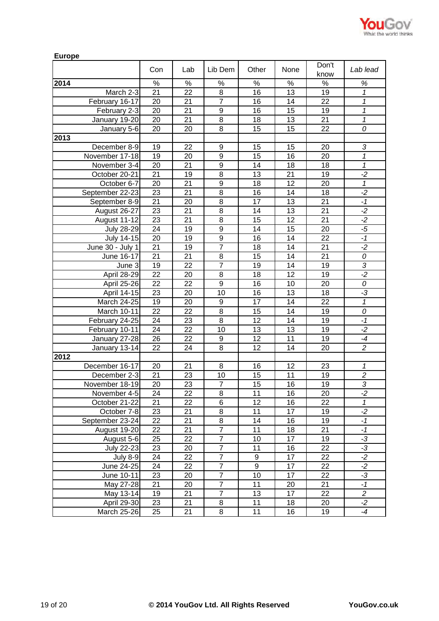

| <b>Europe</b>     |                 |      |                  |                  |                 |                 |                 |
|-------------------|-----------------|------|------------------|------------------|-----------------|-----------------|-----------------|
|                   | Con             | Lab  | Lib Dem          | Other            | None            | Don't<br>know   | Lab lead        |
| 2014              | $\%$            | $\%$ | $\%$             | $\%$             | $\%$            | $\%$            | %               |
| March 2-3         | 21              | 22   | 8                | 16               | 13              | 19              | 1               |
| February 16-17    | 20              | 21   | $\overline{7}$   | 16               | 14              | 22              | 1               |
| February 2-3      | 20              | 21   | $\boldsymbol{9}$ | 16               | 15              | 19              | 1               |
| January 19-20     | 20              | 21   | 8                | 18               | 13              | 21              | 1               |
| January 5-6       | $\overline{20}$ | 20   | 8                | 15               | 15              | $\overline{22}$ | 0               |
| 2013              |                 |      |                  |                  |                 |                 |                 |
| December 8-9      | 19              | 22   | 9                | 15               | 15              | 20              | 3               |
| November 17-18    | 19              | 20   | 9                | 15               | 16              | 20              | 1               |
| November 3-4      | 20              | 21   | $\boldsymbol{9}$ | 14               | 18              | 18              | $\overline{1}$  |
| October 20-21     | 21              | 19   | $\overline{8}$   | 13               | 21              | 19              | $\overline{.2}$ |
| October 6-7       | 20              | 21   | $\mathsf g$      | 18               | 12              | 20              | $\mathbf 1$     |
| September 22-23   | 23              | 21   | 8                | 16               | 14              | 18              | $-2$            |
| September 8-9     | 21              | 20   | 8                | 17               | 13              | 21              | $-1$            |
| August 26-27      | 23              | 21   | 8                | 14               | 13              | 21              | $-2$            |
| August 11-12      | 23              | 21   | 8                | 15               | 12              | 21              | $-2$            |
| <b>July 28-29</b> | 24              | 19   | $\boldsymbol{9}$ | 14               | 15              | 20              | $-5$            |
| July 14-15        | 20              | 19   | $\boldsymbol{9}$ | 16               | 14              | 22              | $-1$            |
| June 30 - July 1  | 21              | 19   | $\overline{7}$   | 18               | 14              | 21              | $-2$            |
| June 16-17        | 21              | 21   | 8                | 15               | 14              | 21              | 0               |
| June 3            | 19              | 22   | $\overline{7}$   | 19               | 14              | 19              | 3               |
| April 28-29       | 22              | 20   | 8                | 18               | 12              | 19              | $-2$            |
| April 25-26       | $\overline{22}$ | 22   | $\overline{9}$   | 16               | 10              | 20              | 0               |
| April 14-15       | 23              | 20   | 10               | 16               | 13              | 18              | -3              |
| March 24-25       | 19              | 20   | 9                | 17               | 14              | 22              | 1               |
| March 10-11       | $\overline{22}$ | 22   | $\overline{8}$   | 15               | 14              | 19              | 0               |
| February 24-25    | $\overline{24}$ | 23   | $\overline{8}$   | $\overline{12}$  | $\overline{14}$ | 19              | $-1$            |
| February 10-11    | 24              | 22   | 10               | 13               | 13              | 19              | $\overline{2}$  |
| January 27-28     | 26              | 22   | 9                | $\overline{12}$  | 11              | 19              | $-4$            |
| January 13-14     | 22              | 24   | 8                | 12               | 14              | 20              | $\overline{c}$  |
| 2012              |                 |      |                  |                  |                 |                 |                 |
| December 16-17    | 20              | 21   | 8                | 16               | 12              | 23              | 1               |
| December 2-3      | 21              | 23   | 10               | 15               | 11              | 19              | $\overline{2}$  |
| November 18-19    | 20              | 23   | 7                | 15               | 16              | 19              | 3               |
| November 4-5      | 24              | 22   | $\overline{8}$   | 11               | 16              | 20              | $-2$            |
| October 21-22     | 21              | 22   | 6                | 12               | 16              | 22              | $\mathbf{1}$    |
| October 7-8       | 23              | 21   | $\overline{8}$   | 11               | 17              | 19              | $-2$            |
| September 23-24   | $\overline{22}$ | 21   | 8                | 14               | 16              | 19              | $-1$            |
| August 19-20      | $\overline{22}$ | 21   | $\overline{7}$   | $\overline{11}$  | 18              | $\overline{21}$ | $-1$            |
| August 5-6        | 25              | 22   | $\overline{7}$   | 10               | $\overline{17}$ | 19              | $-3$            |
| July 22-23        | 23              | 20   | $\overline{7}$   | 11               | 16              | $\overline{22}$ | $-3$            |
| July $8-9$        | 24              | 22   | $\overline{7}$   | $\boldsymbol{9}$ | 17              | 22              | $-2$            |
| June 24-25        | 24              | 22   | $\overline{7}$   | $\overline{9}$   | $\overline{17}$ | 22              | $-2$            |
| June 10-11        | 23              | 20   | $\overline{7}$   | 10               | 17              | 22              | ٠J              |
| May 27-28         | 21              | 20   | $\overline{7}$   | 11               | 20              | 21              | $-1$            |
| May 13-14         | 19              | 21   | $\overline{7}$   | 13               | 17              | 22              | $\overline{c}$  |
| April 29-30       | 23              | 21   | 8                | 11               | 18              | 20              | $-2$            |
| March 25-26       | 25              | 21   | 8                | 11               | 16              | 19              | $-4$            |